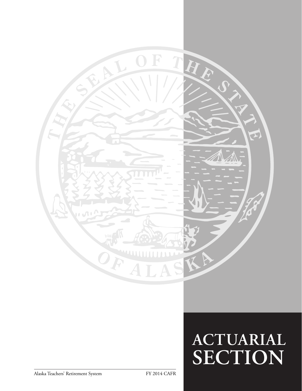

# **ACTUARIAL SECTION**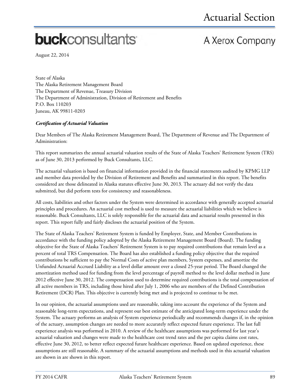# **buck**consultants

# A Xerox Company

August 22, 2014

State of Alaska The Alaska Retirement Management Board The Department of Revenue, Treasury Division The Department of Administration, Division of Retirement and Benefits P.O. Box 110203 Juneau, AK 99811-0203

### *Certification of Actuarial Valuation*

Dear Members of The Alaska Retirement Management Board, The Department of Revenue and The Department of Administration:

This report summarizes the annual actuarial valuation results of the State of Alaska Teachers' Retirement System (TRS) as of June 30, 2013 performed by Buck Consultants, LLC.

The actuarial valuation is based on financial information provided in the financial statements audited by KPMG LLP and member data provided by the Division of Retirement and Benefits and summarized in this report. The benefits considered are those delineated in Alaska statutes effective June 30, 2013. The actuary did not verify the data submitted, but did perform tests for consistency and reasonableness.

All costs, liabilities and other factors under the System were determined in accordance with generally accepted actuarial principles and procedures. An actuarial cost method is used to measure the actuarial liabilities which we believe is reasonable. Buck Consultants, LLC is solely responsible for the actuarial data and actuarial results presented in this report. This report fully and fairly discloses the actuarial position of the System.

The State of Alaska Teachers' Retirement System is funded by Employer, State, and Member Contributions in accordance with the funding policy adopted by the Alaska Retirement Management Board (Board). The funding objective for the State of Alaska Teachers' Retirement System is to pay required contributions that remain level as a percent of total TRS Compensation. The Board has also established a funding policy objective that the required contributions be sufficient to pay the Normal Costs of active plan members, System expenses, and amortize the Unfunded Actuarial Accrued Liability as a level dollar amount over a closed 25-year period. The Board changed the amortization method used for funding from the level percentage of payroll method to the level dollar method in June 2012 effective June 30, 2012. The compensation used to determine required contributions is the total compensation of all active members in TRS, including those hired after July 1, 2006 who are members of the Defined Contribution Retirement (DCR) Plan. This objective is currently being met and is projected to continue to be met.

In our opinion, the actuarial assumptions used are reasonable, taking into account the experience of the System and reasonable long-term expectations, and represent our best estimate of the anticipated long-term experience under the System. The actuary performs an analysis of System experience periodically and recommends changes if, in the opinion of the actuary, assumption changes are needed to more accurately reflect expected future experience. The last full experience analysis was performed in 2010. A review of the healthcare assumptions was performed for last year's actuarial valuation and changes were made to the healthcare cost trend rates and the per capita claims cost rates, effective June 30, 2012, to better reflect expected future healthcare experience. Based on updated experience, these assumptions are still reasonable. A summary of the actuarial assumptions and methods used in this actuarial valuation are shown in are shown in this report.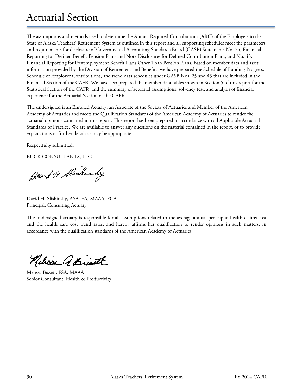# Actuarial Section

The assumptions and methods used to determine the Annual Required Contributions (ARC) of the Employers to the State of Alaska Teachers' Retirement System as outlined in this report and all supporting schedules meet the parameters and requirements for disclosure of Governmental Accounting Standards Board (GASB) Statements No. 25, Financial Reporting for Defined Benefit Pension Plans and Note Disclosures for Defined Contribution Plans, and No. 43, Financial Reporting for Postemployment Benefit Plans Other Than Pension Plans. Based on member data and asset information provided by the Division of Retirement and Benefits, we have prepared the Schedule of Funding Progress, Schedule of Employer Contributions, and trend data schedules under GASB Nos. 25 and 43 that are included in the Financial Section of the CAFR. We have also prepared the member data tables shown in Section 5 of this report for the Statistical Section of the CAFR, and the summary of actuarial assumptions, solvency test, and analysis of financial experience for the Actuarial Section of the CAFR.

The undersigned is an Enrolled Actuary, an Associate of the Society of Actuaries and Member of the American Academy of Actuaries and meets the Qualification Standards of the American Academy of Actuaries to render the actuarial opinions contained in this report. This report has been prepared in accordance with all Applicable Actuarial Standards of Practice. We are available to answer any questions on the material contained in the report, or to provide explanations or further details as may be appropriate.

Respectfully submitted,

BUCK CONSULTANTS, LLC

David H. Alscheinbey

David H. Slishinsky, ASA, EA, MAAA, FCA Principal, Consulting Actuary

The undersigned actuary is responsible for all assumptions related to the average annual per capita health claims cost and the health care cost trend rates, and hereby affirms her qualification to render opinions in such matters, in accordance with the qualification standards of the American Academy of Actuaries.

Melisse A. Bist

Melissa Bissett, FSA, MAAA Senior Consultant, Health & Productivity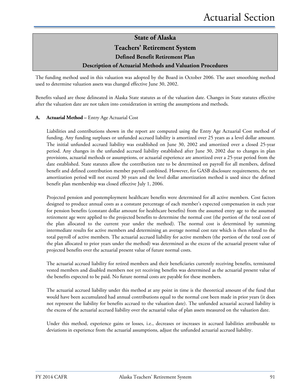**Teachers' Retirement System**

**Defined Benefit Retirement Plan** 

### **Description of Actuarial Methods and Valuation Procedures**

The funding method used in this valuation was adopted by the Board in October 2006. The asset smoothing method used to determine valuation assets was changed effective June 30, 2002.

Benefits valued are those delineated in Alaska State statutes as of the valuation date. Changes in State statutes effective after the valuation date are not taken into consideration in setting the assumptions and methods.

#### **A. Actuarial Method –** Entry Age Actuarial Cost

Liabilities and contributions shown in the report are computed using the Entry Age Actuarial Cost method of funding. Any funding surpluses or unfunded accrued liability is amortized over 25 years as a level dollar amount. The initial unfunded accrued liability was established on June 30, 2002 and amortized over a closed 25-year period. Any changes in the unfunded accrued liability established after June 30, 2002 due to changes in plan provisions, actuarial methods or assumptions, or actuarial experience are amortized over a 25-year period from the date established. State statutes allow the contribution rate to be determined on payroll for all members, defined benefit and defined contribution member payroll combined. However, for GASB disclosure requirements, the net amortization period will not exceed 30 years and the level dollar amortization method is used since the defined benefit plan membership was closed effective July 1, 2006.

Projected pension and postemployment healthcare benefits were determined for all active members. Cost factors designed to produce annual costs as a constant percentage of each member's expected compensation in each year for pension benefits (constant dollar amount for healthcare benefits) from the assumed entry age to the assumed retirement age were applied to the projected benefits to determine the normal cost (the portion of the total cost of the plan allocated to the current year under the method). The normal cost is determined by summing intermediate results for active members and determining an average normal cost rate which is then related to the total payroll of active members. The actuarial accrued liability for active members (the portion of the total cost of the plan allocated to prior years under the method) was determined as the excess of the actuarial present value of projected benefits over the actuarial present value of future normal costs.

The actuarial accrued liability for retired members and their beneficiaries currently receiving benefits, terminated vested members and disabled members not yet receiving benefits was determined as the actuarial present value of the benefits expected to be paid. No future normal costs are payable for these members.

The actuarial accrued liability under this method at any point in time is the theoretical amount of the fund that would have been accumulated had annual contributions equal to the normal cost been made in prior years (it does not represent the liability for benefits accrued to the valuation date). The unfunded actuarial accrued liability is the excess of the actuarial accrued liability over the actuarial value of plan assets measured on the valuation date.

Under this method, experience gains or losses, i.e., decreases or increases in accrued liabilities attributable to deviations in experience from the actuarial assumptions, adjust the unfunded actuarial accrued liability.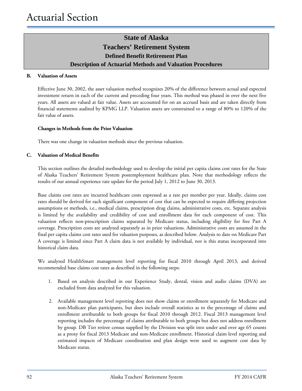# **State of Alaska Teachers' Retirement System Defined Benefit Retirement Plan Description of Actuarial Methods and Valuation Procedures**

#### **B. Valuation of Assets**

Effective June 30, 2002, the asset valuation method recognizes 20% of the difference between actual and expected investment return in each of the current and preceding four years. This method was phased in over the next five years. All assets are valued at fair value. Assets are accounted for on an accrued basis and are taken directly from financial statements audited by KPMG LLP. Valuation assets are constrained to a range of 80% to 120% of the fair value of assets.

#### **Changes in Methods from the Prior Valuation**

There was one change in valuation methods since the previous valuation.

#### **C. Valuation of Medical Benefits**

This section outlines the detailed methodology used to develop the initial per capita claims cost rates for the State of Alaska Teachers' Retirement System postemployment healthcare plan. Note that methodology reflects the results of our annual experience rate update for the period July 1, 2012 to June 30, 2013.

Base claims cost rates are incurred healthcare costs expressed as a rate per member per year. Ideally, claims cost rates should be derived for each significant component of cost that can be expected to require differing projection assumptions or methods, i.e., medical claims, prescription drug claims, administrative costs, etc. Separate analysis is limited by the availability and credibility of cost and enrollment data for each component of cost. This valuation reflects non-prescription claims separated by Medicare status, including eligibility for free Part A coverage. Prescription costs are analyzed separately as in prior valuations. Administrative costs are assumed in the final per capita claims cost rates used for valuation purposes, as described below. Analysis to date on Medicare Part A coverage is limited since Part A claim data is not available by individual, nor is this status incorporated into historical claim data.

We analyzed HealthSmart management level reporting for fiscal 2010 through April 2013, and derived recommended base claims cost rates as described in the following steps:

- 1. Based on analysis described in our Experience Study, dental, vision and audio claims (DVA) are excluded from data analyzed for this valuation.
- 2. Available management level reporting does not show claims or enrollment separately for Medicare and non-Medicare plan participants, but does include overall statistics as to the percentage of claims and enrollment attributable to both groups for fiscal 2010 through 2012. Fiscal 2013 management level reporting includes the percentage of claims attributable to both groups but does not address enrollment by group. DB Tier retiree census supplied by the Division was split into under and over age 65 counts as a proxy for fiscal 2013 Medicare and non-Medicare enrollment. Historical claim level reporting and estimated impacts of Medicare coordination and plan design were used to augment cost data by Medicare status.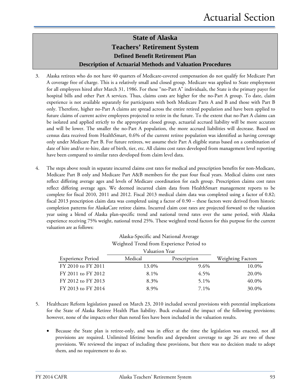# **State of Alaska Teachers' Retirement System Defined Benefit Retirement Plan Description of Actuarial Methods and Valuation Procedures**

- 3. Alaska retirees who do not have 40 quarters of Medicare-covered compensation do not qualify for Medicare Part A coverage free of charge. This is a relatively small and closed group. Medicare was applied to State employment for all employees hired after March 31, 1986. For these "no-Part A" individuals, the State is the primary payer for hospital bills and other Part A services. Thus, claims costs are higher for the no-Part A group. To date, claim experience is not available separately for participants with both Medicare Parts A and B and those with Part B only. Therefore, higher no-Part A claims are spread across the entire retired population and have been applied to future claims of current active employees projected to retire in the future. To the extent that no-Part A claims can be isolated and applied strictly to the appropriate closed group, actuarial accrued liability will be more accurate and will be lower. The smaller the no-Part A population, the more accrued liabilities will decrease. Based on census data received from HealthSmart, 0.6% of the current retiree population was identified as having coverage only under Medicare Part B. For future retirees, we assume their Part A eligible status based on a combination of date of hire and/or re-hire, date of birth, tier, etc. All claims cost rates developed from management level reporting have been compared to similar rates developed from claim level data.
- 4. The steps above result in separate incurred claims cost rates for medical and prescription benefits for non-Medicare, Medicare Part B only and Medicare Part A&B members for the past four fiscal years. Medical claims cost rates reflect differing average ages and levels of Medicare coordination for each group. Prescription claims cost rates reflect differing average ages. We deemed incurred claim data from HealthSmart management reports to be complete for fiscal 2010, 2011 and 2012. Fiscal 2013 medical claim data was completed using a factor of 0.82; fiscal 2013 prescription claim data was completed using a factor of 0.90 – these factors were derived from historic completion patterns for AlaskaCare retiree claims. Incurred claim cost rates are projected forward to the valuation year using a blend of Alaska plan-specific trend and national trend rates over the same period, with Alaska experience receiving 75% weight, national trend 25%. These weighted trend factors for this purpose for the current valuation are as follows:

| <b>Experience Period</b> | Medical | Prescription | <b>Weighting Factors</b> |
|--------------------------|---------|--------------|--------------------------|
| FY 2010 to FY 2011       | 13.0%   | 9.6%         | 10.0%                    |
| FY 2011 to FY 2012       | 8.1%    | 4.5%         | 20.0%                    |
| FY 2012 to FY 2013       | 8.3%    | 5.1%         | 40.0%                    |
| FY 2013 to FY 2014       | 8.9%    | 7.1%         | 30.0%                    |

# Alaska-Specific and National Average

- 5. Healthcare Reform legislation passed on March 23, 2010 included several provisions with potential implications for the State of Alaska Retiree Health Plan liability. Buck evaluated the impact of the following provisions; however, none of the impacts other than noted fees have been included in the valuation results.
	- Because the State plan is retiree-only, and was in effect at the time the legislation was enacted, not all provisions are required. Unlimited lifetime benefits and dependent coverage to age 26 are two of these provisions. We reviewed the impact of including these provisions, but there was no decision made to adopt them, and no requirement to do so.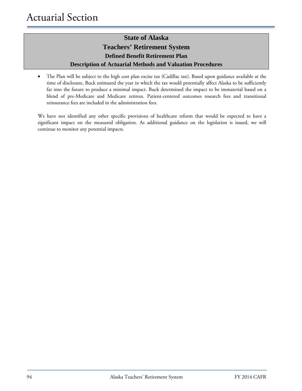# **State of Alaska Teachers' Retirement System Defined Benefit Retirement Plan Description of Actuarial Methods and Valuation Procedures**

• The Plan will be subject to the high cost plan excise tax (Cadillac tax). Based upon guidance available at the time of disclosure, Buck estimated the year in which the tax would potentially affect Alaska to be sufficiently far into the future to produce a minimal impact. Buck determined the impact to be immaterial based on a blend of pre-Medicare and Medicare retirees. Patient-centered outcomes research fees and transitional reinsurance fees are included in the administration fees.

We have not identified any other specific provisions of healthcare reform that would be expected to have a significant impact on the measured obligation. As additional guidance on the legislation is issued, we will continue to monitor any potential impacts.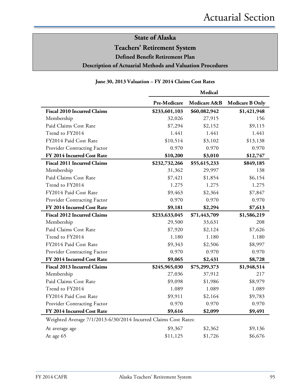# **Teachers' Retirement System**

**Defined Benefit Retirement Plan** 

### **Description of Actuarial Methods and Valuation Procedures**

### **June 30, 2013 Valuation – FY 2014 Claims Cost Rates**

|                                                                 | Medical       |              |                        |
|-----------------------------------------------------------------|---------------|--------------|------------------------|
|                                                                 | Pre-Medicare  | Medicare A&B | <b>Medicare B Only</b> |
| <b>Fiscal 2010 Incurred Claims</b>                              | \$233,601,103 | \$60,082,942 | \$1,421,948            |
| Membership                                                      | 32,026        | 27,915       | 156                    |
| Paid Claims Cost Rate                                           | \$7,294       | \$2,152      | \$9,115                |
| Trend to FY2014                                                 | 1.441         | 1.441        | 1.441                  |
| FY2014 Paid Cost Rate                                           | \$10,514      | \$3,102      | \$13,138               |
| Provider Contracting Factor                                     | 0.970         | 0.970        | 0.970                  |
| FY 2014 Incurred Cost Rate                                      | \$10,200      | \$3,010      | \$12,747               |
| <b>Fiscal 2011 Incurred Claims</b>                              | \$232,732,266 | \$55,615,233 | \$849,185              |
| Membership                                                      | 31,362        | 29,997       | 138                    |
| Paid Claims Cost Rate                                           | \$7,421       | \$1,854      | \$6,154                |
| Trend to FY2014                                                 | 1.275         | 1.275        | 1.275                  |
| FY2014 Paid Cost Rate                                           | \$9,463       | \$2,364      | \$7,847                |
| Provider Contracting Factor                                     | 0.970         | 0.970        | 0.970                  |
| FY 2014 Incurred Cost Rate                                      | \$9,181       | \$2,294      | \$7,613                |
| <b>Fiscal 2012 Incurred Claims</b>                              | \$233,633,045 | \$71,443,709 | \$1,586,219            |
| Membership                                                      | 29,500        | 33,631       | 208                    |
| Paid Claims Cost Rate                                           | \$7,920       | \$2,124      | \$7,626                |
| Trend to FY2014                                                 | 1.180         | 1.180        | 1.180                  |
| FY2014 Paid Cost Rate                                           | \$9,343       | \$2,506      | \$8,997                |
| Provider Contracting Factor                                     | 0.970         | 0.970        | 0.970                  |
| FY 2014 Incurred Cost Rate                                      | \$9,065       | \$2,431      | \$8,728                |
| <b>Fiscal 2013 Incurred Claims</b>                              | \$245,965,030 | \$75,299,373 | \$1,948,514            |
| Membership                                                      | 27,036        | 37,912       | 217                    |
| Paid Claims Cost Rate                                           | \$9,098       | \$1,986      | \$8,979                |
| Trend to FY2014                                                 | 1.089         | 1.089        | 1.089                  |
| FY2014 Paid Cost Rate                                           | \$9,911       | \$2,164      | \$9,783                |
| Provider Contracting Factor                                     | 0.970         | 0.970        | 0.970                  |
| FY 2014 Incurred Cost Rate                                      | \$9,616       | \$2,099      | \$9,491                |
| Weighted Average 7/1/2013-6/30/2014 Incurred Claims Cost Rates: |               |              |                        |
| At average age                                                  | \$9,367       | \$2,362      | \$9,136                |
| At age 65                                                       | \$11,125      | \$1,726      | \$6,676                |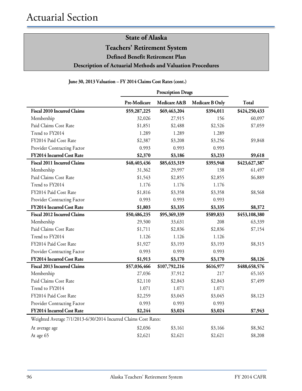**Teachers' Retirement System**

**Defined Benefit Retirement Plan** 

### **Description of Actuarial Methods and Valuation Procedures**

|  | June 30, 2013 Valuation - FY 2014 Claims Cost Rates (cont.) |  |
|--|-------------------------------------------------------------|--|
|--|-------------------------------------------------------------|--|

|                                                                 | <b>Prescription Drugs</b> |               |                        |               |
|-----------------------------------------------------------------|---------------------------|---------------|------------------------|---------------|
|                                                                 | Pre-Medicare              | Medicare A&B  | <b>Medicare B Only</b> | Total         |
| <b>Fiscal 2010 Incurred Claims</b>                              | \$59,287,225              | \$69,463,204  | \$394,011              | \$424,250,433 |
| Membership                                                      | 32,026                    | 27,915        | 156                    | 60,097        |
| Paid Claims Cost Rate                                           | \$1,851                   | \$2,488       | \$2,526                | \$7,059       |
| Trend to FY2014                                                 | 1.289                     | 1.289         | 1.289                  |               |
| FY2014 Paid Cost Rate                                           | \$2,387                   | \$3,208       | \$3,256                | \$9,848       |
| Provider Contracting Factor                                     | 0.993                     | 0.993         | 0.993                  |               |
| FY2014 Incurred Cost Rate                                       | \$2,370                   | \$3,186       | \$3,233                | \$9,618       |
| <b>Fiscal 2011 Incurred Claims</b>                              | \$48,403,436              | \$85,633,319  | \$393,948              | \$423,627,387 |
| Membership                                                      | 31,362                    | 29,997        | 138                    | 61,497        |
| Paid Claims Cost Rate                                           | \$1,543                   | \$2,855       | \$2,855                | \$6,889       |
| Trend to FY2014                                                 | 1.176                     | 1.176         | 1.176                  |               |
| FY2014 Paid Cost Rate                                           | \$1,816                   | \$3,358       | \$3,358                | \$8,568       |
| Provider Contracting Factor                                     | 0.993                     | 0.993         | 0.993                  |               |
| FY2014 Incurred Cost Rate                                       | \$1,803                   | \$3,335       | \$3,335                | \$8,372       |
| <b>Fiscal 2012 Incurred Claims</b>                              | \$50,486,235              | \$95,369,339  | \$589,833              | \$453,108,380 |
| Membership                                                      | 29,500                    | 33,631        | 208                    | 63,339        |
| Paid Claims Cost Rate                                           | \$1,711                   | \$2,836       | \$2,836                | \$7,154       |
| Trend to FY2014                                                 | 1.126                     | 1.126         | 1.126                  |               |
| FY2014 Paid Cost Rate                                           | \$1,927                   | \$3,193       | \$3,193                | \$8,315       |
| Provider Contracting Factor                                     | 0.993                     | 0.993         | 0.993                  |               |
| FY2014 Incurred Cost Rate                                       | \$1,913                   | \$3,170       | \$3,170                | \$8,126       |
| <b>Fiscal 2013 Incurred Claims</b>                              | \$57,036,466              | \$107,792,216 | \$616,977              | \$488,658,576 |
| Membership                                                      | 27,036                    | 37,912        | 217                    | 65,165        |
| Paid Claims Cost Rate                                           | \$2,110                   | \$2,843       | \$2,843                | \$7,499       |
| Trend to FY2014                                                 | 1.071                     | 1.071         | 1.071                  |               |
| FY2014 Paid Cost Rate                                           | \$2,259                   | \$3,045       | \$3,045                | \$8,123       |
| Provider Contracting Factor                                     | 0.993                     | 0.993         | 0.993                  |               |
| FY2014 Incurred Cost Rate                                       | \$2,244                   | \$3,024       | \$3,024                | \$7,943       |
| Weighted Average 7/1/2013-6/30/2014 Incurred Claims Cost Rates: |                           |               |                        |               |
| At average age                                                  | \$2,036                   | \$3,161       | \$3,166                | \$8,362       |
| At age 65                                                       | \$2,621                   | \$2,621       | \$2,621                | \$8,208       |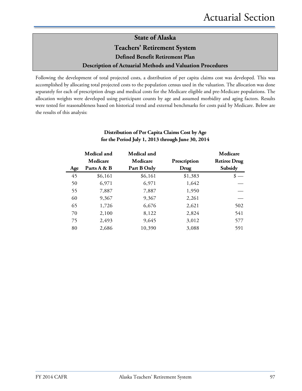# **State of Alaska Teachers' Retirement System Defined Benefit Retirement Plan Description of Actuarial Methods and Valuation Procedures**

Following the development of total projected costs, a distribution of per capita claims cost was developed. This was accomplished by allocating total projected costs to the population census used in the valuation. The allocation was done separately for each of prescription drugs and medical costs for the Medicare eligible and pre-Medicare populations. The allocation weights were developed using participant counts by age and assumed morbidity and aging factors. Results were tested for reasonableness based on historical trend and external benchmarks for costs paid by Medicare. Below are the results of this analysis:

|     | Medical and | Medical and |              | Medicare            |
|-----|-------------|-------------|--------------|---------------------|
|     | Medicare    | Medicare    | Prescription | <b>Retiree Drug</b> |
| Age | Parts A & B | Part B Only | Drug         | Subsidy             |
| 45  | \$6,161     | \$6,161     | \$1,383      |                     |
| 50  | 6,971       | 6,971       | 1,642        |                     |
| 55  | 7,887       | 7,887       | 1,950        |                     |
| 60  | 9,367       | 9,367       | 2,261        |                     |
| 65  | 1,726       | 6,676       | 2,621        | 502                 |
| 70  | 2,100       | 8,122       | 2,824        | 541                 |
| 75  | 2,493       | 9,645       | 3,012        | 577                 |
| 80  | 2,686       | 10,390      | 3,088        | 591                 |

### **Distribution of Per Capita Claims Cost by Age for the Period July 1, 2013 through June 30, 2014**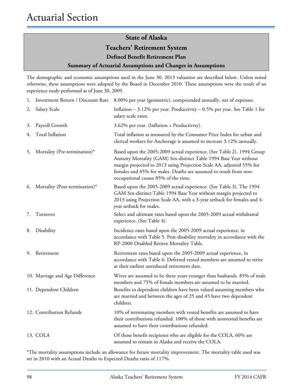**Teachers' Retirement System**

**Defined Benefit Retirement Plan** 

#### **Summary of Actuarial Assumptions and Changes in Assumptions**

The demographic and economic assumptions used in the June 30, 2013 valuation are described below. Unless noted otherwise, these assumptions were adopted by the Board in December 2010. These assumptions were the result of an experience study performed as of June 30, 2009.

| 1. |                                 | Investment Return / Discount Rate 8.00% per year (geometric), compounded annually, net of expenses.                                                                                                                                                                                                                             |
|----|---------------------------------|---------------------------------------------------------------------------------------------------------------------------------------------------------------------------------------------------------------------------------------------------------------------------------------------------------------------------------|
| 2. | Salary Scale                    | Inflation $-3.12\%$ per year. Productivity $-0.5\%$ per year. See Table 1 for<br>salary scale rates.                                                                                                                                                                                                                            |
| 3. | Payroll Growth                  | 3.62% per year. (Inflation + Productivity).                                                                                                                                                                                                                                                                                     |
| 4. | Total Inflation                 | Total inflation as measured by the Consumer Price Index for urban and<br>clerical workers for Anchorage is assumed to increase 3.12% annually.                                                                                                                                                                                  |
| 5. | Mortality (Pre-termination)*    | Based upon the 2005-2009 actual experience. (See Table 2). 1994 Group<br>Annuity Mortality (GAM) Sex-distinct Table 1994 Base Year without<br>margin projected to 2013 using Projection Scale AA, adjusted 55% for<br>females and 45% for males. Deaths are assumed to result from non-<br>occupational causes 85% of the time. |
| 6. | Mortality (Post-termination)*   | Based upon the 2005-2009 actual experience. (See Table 3). The 1994<br>GAM Sex-distinct Table 1994 Base Year without margin projected to<br>2013 using Projection Scale AA, with a 3-year setback for females and 4-<br>year setback for males.                                                                                 |
| 7. | Turnover                        | Select and ultimate rates based upon the 2005-2009 actual withdrawal<br>experience. (See Table 4).                                                                                                                                                                                                                              |
| 8. | Disability                      | Incidence rates based upon the 2005-2009 actual experience, in<br>accordance with Table 5. Post-disability mortality in accordance with the<br>RP-2000 Disabled Retiree Mortality Table.                                                                                                                                        |
| 9. | Retirement                      | Retirement rates based upon the 2005-2009 actual experience, in<br>accordance with Table 6. Deferred vested members are assumed to retire<br>at their earliest unreduced retirement date.                                                                                                                                       |
|    | 10. Marriage and Age Difference | Wives are assumed to be three years younger than husbands. 85% of male<br>members and 75% of female members are assumed to be married.                                                                                                                                                                                          |
|    | 11. Dependent Children          | Benefits to dependent children have been valued assuming members who<br>are married and between the ages of 25 and 45 have two dependent<br>children.                                                                                                                                                                           |
|    | 12. Contribution Refunds        | 10% of terminating members with vested benefits are assumed to have<br>their contributions refunded. 100% of those with nonvested benefits are<br>assumed to have their contributions refunded.                                                                                                                                 |
|    | 13. COLA                        | Of those benefit recipients who are eligible for the COLA, 60% are<br>assumed to remain in Alaska and receive the COLA.                                                                                                                                                                                                         |
|    |                                 |                                                                                                                                                                                                                                                                                                                                 |

\*The mortality assumptions include an allowance for future mortality improvement. The mortality table used was set in 2010 with an Actual Deaths to Expected Deaths ratio of 117%.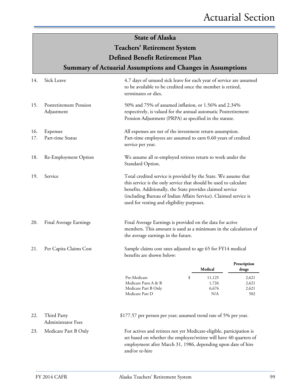# **State of Alaska Teachers' Retirement System Defined Benefit Retirement Plan**

# **Summary of Actuarial Assumptions and Changes in Assumptions**

| 14.        | Sick Leave                                  | 4.7 days of unused sick leave for each year of service are assumed<br>to be available to be credited once the member is retired,<br>terminates or dies.                                                                                                                                                              |    |                                 |                                |
|------------|---------------------------------------------|----------------------------------------------------------------------------------------------------------------------------------------------------------------------------------------------------------------------------------------------------------------------------------------------------------------------|----|---------------------------------|--------------------------------|
| 15.        | <b>Postretirement Pension</b><br>Adjustment | 50% and 75% of assumed inflation, or 1.56% and 2.34%<br>respectively, is valued for the annual automatic Postretirement<br>Pension Adjustment (PRPA) as specified in the statute.                                                                                                                                    |    |                                 |                                |
| 16.<br>17. | Expenses<br>Part-time Status                | All expenses are net of the investment return assumption.<br>Part-time employees are assumed to earn 0.60 years of credited<br>service per year.                                                                                                                                                                     |    |                                 |                                |
| 18.        | Re-Employment Option                        | We assume all re-employed retirees return to work under the<br>Standard Option.                                                                                                                                                                                                                                      |    |                                 |                                |
| 19.        | Service                                     | Total credited service is provided by the State. We assume that<br>this service is the only service that should be used to calculate<br>benefits. Additionally, the State provides claimed service<br>(including Bureau of Indian Affairs Service). Claimed service is<br>used for vesting and eligibility purposes. |    |                                 |                                |
| 20.        | Final Average Earnings                      | Final Average Earnings is provided on the data for active<br>members. This amount is used as a minimum in the calculation of<br>the average earnings in the future.                                                                                                                                                  |    |                                 |                                |
| 21.        | Per Capita Claims Cost                      | Sample claims cost rates adjusted to age 65 for FY14 medical<br>benefits are shown below:                                                                                                                                                                                                                            |    |                                 |                                |
|            |                                             |                                                                                                                                                                                                                                                                                                                      |    | Medical                         | Prescription<br>drugs          |
|            |                                             | Pre-Medicare<br>Medicare Parts A & B<br>Medicare Part B Only<br>Medicare Part D                                                                                                                                                                                                                                      | \$ | 11,125<br>1,726<br>6,676<br>N/A | 2,621<br>2,621<br>2,621<br>502 |
| 22.        | Third Party<br><b>Administrator Fees</b>    | \$177.57 per person per year; assumed trend rate of 5% per year.                                                                                                                                                                                                                                                     |    |                                 |                                |
| 23.        | Medicare Part B Only                        | For actives and retirees not yet Medicare-eligible, participation is<br>set based on whether the employee/retiree will have 40 quarters of<br>employment after March 31, 1986, depending upon date of hire<br>and/or re-hire                                                                                         |    |                                 |                                |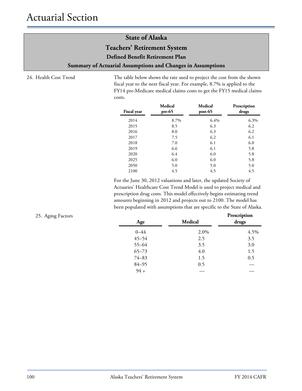**Teachers' Retirement System**

**Defined Benefit Retirement Plan** 

**Summary of Actuarial Assumptions and Changes in Assumptions**

24. Health Cost Trend The table below shows the rate used to project the cost from the shown fiscal year to the next fiscal year. For example, 8.7% is applied to the FY14 pre-Medicare medical claims costs to get the FY15 medical claims costs.

| <b>Fiscal year</b> | Medical<br>$pre-65$ | Medical<br>$post-65$ | Prescription<br>drugs |
|--------------------|---------------------|----------------------|-----------------------|
| 2014               | 8.7%                | 6.4%                 | 6.3%                  |
| 2015               | 8.5                 | 6.3                  | 6.2                   |
| 2016               | 8.0                 | 6.3                  | 6.2                   |
| 2017               | 7.5                 | 6.2                  | 6.1                   |
| 2018               | 7.0                 | 6.1                  | 6.0                   |
| 2019               | 6.6                 | 6.1                  | 5.8                   |
| 2020               | 6.4                 | 6.0                  | 5.8                   |
| 2025               | 6.0                 | 6.0                  | 5.8                   |
| 2050               | 5.0                 | 5.0                  | 5.0                   |
| 2100               | 4.5                 | 4.5                  | 4.5                   |

For the June 30, 2012 valuations and later, the updated Society of Actuaries' Healthcare Cost Trend Model is used to project medical and prescription drug costs. This model effectively begins estimating trend amounts beginning in 2012 and projects out to 2100. The model has been populated with assumptions that are specific to the State of Alaska.

| 25. Aging Factors | Age       | Medical | Prescription<br>drugs |
|-------------------|-----------|---------|-----------------------|
|                   | $0 - 44$  | 2.0%    | 4.5%                  |
|                   | $45 - 54$ | 2.5     | 3.5                   |
|                   | $55 - 64$ | 3.5     | 3.0                   |
|                   | $65 - 73$ | 4.0     | 1.5                   |
|                   | $74 - 83$ | 1.5     | 0.5                   |
|                   | $84 - 95$ | 0.5     |                       |
|                   | $94 +$    |         |                       |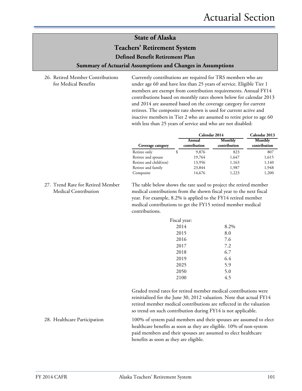### **Teachers' Retirement System**

**Defined Benefit Retirement Plan** 

#### **Summary of Actuarial Assumptions and Changes in Assumptions**

26. Retired Member Contributions for Medical Benefits

Currently contributions are required for TRS members who are under age 60 and have less than 25 years of service. Eligible Tier 1 members are exempt from contribution requirements. Annual FY14 contributions based on monthly rates shown below for calendar 2013 and 2014 are assumed based on the coverage category for current retirees. The composite rate shown is used for current active and inactive members in Tier 2 who are assumed to retire prior to age 60 with less than 25 years of service and who are not disabled:

|                        | Calendar 2014          | Calendar 2013           |                         |
|------------------------|------------------------|-------------------------|-------------------------|
| Coverage category      | Annual<br>contribution | Monthly<br>contribution | Monthly<br>contribution |
| Retiree only           | 9,876                  | 823                     | 807                     |
| Retiree and spouse     | 19,764                 | 1,647                   | 1,615                   |
| Retiree and child(ren) | 13,956                 | 1,163                   | 1,140                   |
| Retiree and family     | 23,844                 | 1,987                   | 1,948                   |
| Composite              | 14,676                 | 1,223                   | 1,200                   |

27. Trend Rate for Retired Member Medical Contribution

The table below shows the rate used to project the retired member medical contributions from the shown fiscal year to the next fiscal year. For example, 8.2% is applied to the FY14 retired member medical contributions to get the FY15 retired member medical contributions.

| Fiscal year: |      |
|--------------|------|
| 2014         | 8.2% |
| 2015         | 8.0  |
| 2016         | 7.6  |
| 2017         | 7.2  |
| 2018         | 6.7  |
| 2019         | 6.4  |
| 2025         | 5.9  |
| 2050         | 5.0  |
| 2100         | 4.5  |

Graded trend rates for retired member medical contributions were reinitialized for the June 30, 2012 valuation. Note that actual FY14 retired member medical contributions are reflected in the valuation so trend on such contribution during FY14 is not applicable.

28. Healthcare Participation 100% of system paid members and their spouses are assumed to elect healthcare benefits as soon as they are eligible. 10% of non-system paid members and their spouses are assumed to elect healthcare benefits as soon as they are eligible.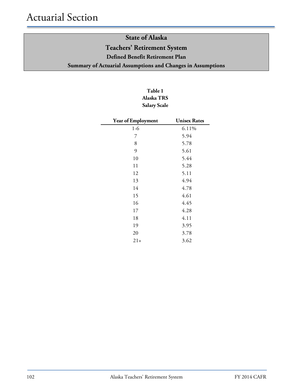# **State of Alaska Teachers' Retirement System Defined Benefit Retirement Plan Summary of Actuarial Assumptions and Changes in Assumptions**

## **Table 1 Alaska TRS Salary Scale**

| Year of Employment | <b>Unisex Rates</b> |
|--------------------|---------------------|
| 1-6                | 6.11%               |
| 7                  | 5.94                |
| 8                  | 5.78                |
| 9                  | 5.61                |
| 10                 | 5.44                |
| 11                 | 5.28                |
| 12                 | 5.11                |
| 13                 | 4.94                |
| 14                 | 4.78                |
| 15                 | 4.61                |
| 16                 | 4.45                |
| 17                 | 4.28                |
| 18                 | 4.11                |
| 19                 | 3.95                |
| 20                 | 3.78                |
| $21+$              | 3.62                |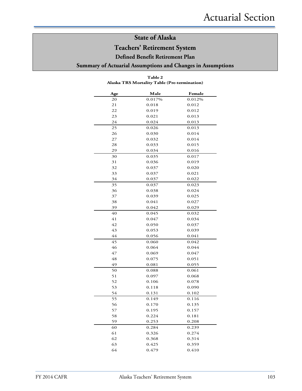**Teachers' Retirement System**

**Defined Benefit Retirement Plan** 

**Summary of Actuarial Assumptions and Changes in Assumptions**

**Table 2**

| Age | Male   | Female |
|-----|--------|--------|
| 20  | 0.017% | 0.012% |
| 21  | 0.018  | 0.012  |
| 22  | 0.019  | 0.012  |
| 23  | 0.021  | 0.013  |
| 24  | 0.024  | 0.013  |
| 25  | 0.026  | 0.013  |
| 26  | 0.030  | 0.014  |
| 27  | 0.032  | 0.014  |
| 28  | 0.033  | 0.015  |
| 29  | 0.034  | 0.016  |
| 30  | 0.035  | 0.017  |
| 31  | 0.036  | 0.019  |
| 32  | 0.037  | 0.020  |
| 33  | 0.037  | 0.021  |
| 34  | 0.037  | 0.022  |
| 35  | 0.037  | 0.023  |
| 36  | 0.038  | 0.024  |
| 37  | 0.039  | 0.025  |
| 38  | 0.041  | 0.027  |
| 39  | 0.042  | 0.029  |
| 40  | 0.045  | 0.032  |
| 41  | 0.047  | 0.034  |
| 42  | 0.050  | 0.037  |
| 43  | 0.053  | 0.039  |
| 44  | 0.056  | 0.041  |
| 45  | 0.060  | 0.042  |
| 46  | 0.064  | 0.044  |
| 47  | 0.069  | 0.047  |
| 48  | 0.075  | 0.051  |
| 49  | 0.081  | 0.055  |
| 50  | 0.088  | 0.061  |
| 51  | 0.097  | 0.068  |
| 52  | 0.106  | 0.078  |
| 53  | 0.118  | 0.090  |
| 54  | 0.131  | 0.102  |
| 55  | 0.149  | 0.116  |
| 56  | 0.170  | 0.135  |
| 57  | 0.195  | 0.157  |
| 58  | 0.224  | 0.181  |
| 59  | 0.253  | 0.208  |
| 60  | 0.284  | 0.239  |
| 61  | 0.326  | 0.274  |
| 62  | 0.368  | 0.314  |
| 63  | 0.425  | 0.359  |
| 64  | 0.479  | 0.410  |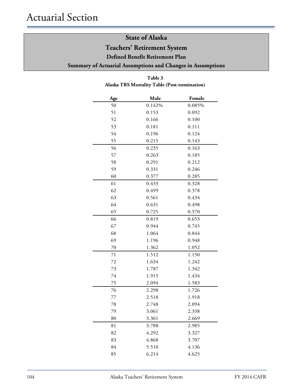**Teachers' Retirement System**

**Defined Benefit Retirement Plan** 

**Summary of Actuarial Assumptions and Changes in Assumptions**

## **Table 3 Alaska TRS Mortality Table (Post-termination)**

| Age | Male   | Female |
|-----|--------|--------|
| 50  | 0.142% | 0.085% |
| 51  | 0.153  | 0.092  |
| 52  | 0.166  | 0.100  |
| 53  | 0.181  | 0.111  |
| 54  | 0.196  | 0.124  |
| 55  | 0.215  | 0.143  |
| 56  | 0.235  | 0.163  |
| 57  | 0.263  | 0.185  |
| 58  | 0.291  | 0.212  |
| 59  | 0.331  | 0.246  |
| 60  | 0.377  | 0.285  |
| 61  | 0.433  | 0.328  |
| 62  | 0.499  | 0.378  |
| 63  | 0.561  | 0.434  |
| 64  | 0.631  | 0.498  |
| 65  | 0.725  | 0.570  |
| 66  | 0.819  | 0.653  |
| 67  | 0.944  | 0.745  |
| 68  | 1.064  | 0.844  |
| 69  | 1.196  | 0.948  |
| 70  | 1.362  | 1.052  |
| 71  | 1.512  | 1.150  |
| 72  | 1.634  | 1.242  |
| 73  | 1.787  | 1.342  |
| 74  | 1.915  | 1.434  |
| 75  | 2.094  | 1.583  |
| 76  | 2.298  | 1.726  |
| 77  | 2.518  | 1.918  |
| 78  | 2.748  | 2.094  |
| 79  | 3.061  | 2.338  |
| 80  | 3.361  | 2.669  |
| 81  | 3.788  | 2.985  |
| 82  | 4.292  | 3.327  |
| 83  | 4.868  | 3.707  |
| 84  | 5.510  | 4.136  |
| 85  | 6.214  | 4.625  |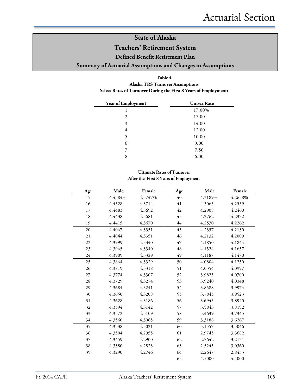## **Teachers' Retirement System**

**Defined Benefit Retirement Plan** 

### **Summary of Actuarial Assumptions and Changes in Assumptions**

#### **Table 4**

#### **Alaska TRS Turnover Assumptions Select Rates of Turnover During the First 8 Years of Employment:**

| Year of Employment | <b>Unisex Rate</b> |
|--------------------|--------------------|
| 1                  | 17.00%             |
| 2                  | 17.00              |
| 3                  | 14.00              |
| 4                  | 12.00              |
| 5                  | 10.00              |
| 6                  | 9.00               |
| 7                  | 7.50               |
| 8                  | 6.00               |

#### **Ultimate Rates of Turnover After the First 8 Years of Employment**

| Age | Male    | Female  | Age    | Male    | Female  |
|-----|---------|---------|--------|---------|---------|
| 15  | 4.4584% | 4.3747% | 40     | 4.3189% | 4.2658% |
| 16  | 4.4528  | 4.3714  | 41     | 4.3065  | 4.2559  |
| 17  | 4.4483  | 4.3692  | 42     | 4.2908  | 4.2460  |
| 18  | 4.4438  | 4.3681  | 43     | 4.2762  | 4.2372  |
| 19  | 4.4415  | 4.3670  | $44\,$ | 4.2570  | 4.2262  |
| 20  | 4.4067  | 4.3351  | 45     | 4.2357  | 4.2130  |
| 21  | 4.4044  | 4.3351  | 46     | 4.2132  | 4.2009  |
| 22  | 4.3999  | 4.3340  | 47     | 4.1850  | 4.1844  |
| 23  | 4.3965  | 4.3340  | 48     | 4.1524  | 4.1657  |
| 24  | 4.3909  | 4.3329  | 49     | 4.1187  | 4.1470  |
| 25  | 4.3864  | 4.3329  | 50     | 4.0804  | 4.1250  |
| 26  | 4.3819  | 4.3318  | 51     | 4.0354  | 4.0997  |
| 27  | 4.3774  | 4.3307  | 52     | 3.9825  | 4.0700  |
| 28  | 4.3729  | 4.3274  | 53     | 3.9240  | 4.0348  |
| 29  | 4.3684  | 4.3241  | 54     | 3.8588  | 3.9974  |
| 30  | 4.3650  | 4.3208  | 55     | 3.7845  | 3.9523  |
| 31  | 4.3628  | 4.3186  | 56     | 3.6945  | 3.8940  |
| 32  | 4.3594  | 4.3142  | 57     | 3.5843  | 3.8192  |
| 33  | 4.3572  | 4.3109  | 58     | 3.4639  | 3.7345  |
| 34  | 4.3560  | 4.3065  | 59     | 3.3188  | 3.6267  |
| 35  | 4.3538  | 4.3021  | 60     | 3.1557  | 3.5046  |
| 36  | 4.3504  | 4.2955  | 61     | 2.9745  | 3.3682  |
| 37  | 4.3459  | 4.2900  | 62     | 2.7642  | 3.2131  |
| 38  | 4.3380  | 4.2823  | 63     | 2.5245  | 3.0360  |
| 39  | 4.3290  | 4.2746  | 64     | 2.2647  | 2.8435  |
|     |         |         | $65+$  | 4.5000  | 4.4000  |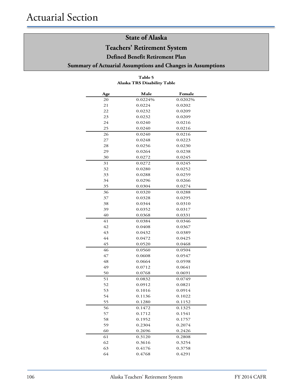## **Teachers' Retirement System**

**Defined Benefit Retirement Plan** 

#### **Summary of Actuarial Assumptions and Changes in Assumptions**

#### **Age Male Female** 0.0224% 0.0202% 0.0224 0.0202 0.0232 0.0209 0.0232 0.0209 0.0240 0.0216 0.0240 0.0216 0.0240 0.0216 0.0248 0.0223 0.0256 0.0230 0.0264 0.0238 0.0272 0.0245 0.0272 0.0245 0.0280 0.0252 0.0288 0.0259 0.0296 0.0266 0.0304 0.0274 0.0320 0.0288 0.0328 0.0295 0.0344 0.0310 0.0352 0.0317 0.0368 0.0331 0.0384 0.0346 0.0408 0.0367 0.0432 0.0389 0.0472 0.0425 0.0520 0.0468 0.0560 0.0504 0.0608 0.0547 0.0664 0.0598 0.0712 0.0641 0.0768 0.0691 0.0832 0.0749 0.0912 0.0821 0.1016 0.0914 0.1136 0.1022 0.1280 0.1152 0.1472 0.1325 0.1712 0.1541 0.1952 0.1757 0.2304 0.2074 0.2696 0.2426 0.3120 0.2808 0.3616 0.3254 0.4176 0.3758

#### **Table 5 Alaska TRS Disability Table**

0.4768 0.4291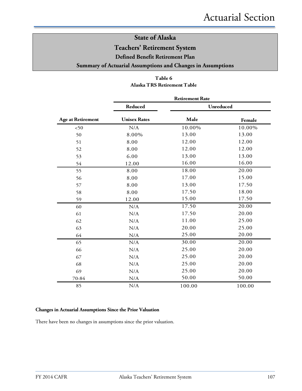**Teachers' Retirement System**

**Defined Benefit Retirement Plan** 

#### **Summary of Actuarial Assumptions and Changes in Assumptions**

### **Table 6 Alaska TRS Retirement Table**

|                          | <b>Retirement Rate</b> |        |                  |  |  |  |  |
|--------------------------|------------------------|--------|------------------|--|--|--|--|
|                          | Reduced                |        | <b>Unreduced</b> |  |  |  |  |
| <b>Age at Retirement</b> | <b>Unisex Rates</b>    | Male   | Female           |  |  |  |  |
| < 50                     | N/A                    | 10.00% | 10.00%           |  |  |  |  |
| 50                       | 8.00%                  | 13.00  | 13.00            |  |  |  |  |
| 51                       | 8.00                   | 12.00  | 12.00            |  |  |  |  |
| 52                       | 8.00                   | 12.00  | 12.00            |  |  |  |  |
| 53                       | 6.00                   | 13.00  | 13.00            |  |  |  |  |
| 54                       | 12.00                  | 16.00  | 16.00            |  |  |  |  |
| 55                       | 8.00                   | 18.00  | 20.00            |  |  |  |  |
| 56                       | 8.00                   | 17.00  | 15.00            |  |  |  |  |
| 57                       | 8.00                   | 13.00  | 17.50            |  |  |  |  |
| 58                       | 8.00                   | 17.50  | 18.00            |  |  |  |  |
| 59                       | 12.00                  | 15.00  | 17.50            |  |  |  |  |
| 60                       | N/A                    | 17.50  | 20.00            |  |  |  |  |
| 61                       | N/A                    | 17.50  | 20.00            |  |  |  |  |
| 62                       | N/A                    | 11.00  | 25.00            |  |  |  |  |
| 63                       | N/A                    | 20.00  | 25.00            |  |  |  |  |
| 64                       | N/A                    | 25.00  | 20.00            |  |  |  |  |
| 65                       | N/A                    | 30.00  | 20.00            |  |  |  |  |
| 66                       | N/A                    | 25.00  | 20.00            |  |  |  |  |
| 67                       | N/A                    | 25.00  | 20.00            |  |  |  |  |
| 68                       | N/A                    | 25.00  | 20.00            |  |  |  |  |
| 69                       | N/A                    | 25.00  | 20.00            |  |  |  |  |
| 70-84                    | N/A                    | 50.00  | 50.00            |  |  |  |  |
| 85                       | N/A                    | 100.00 | 100.00           |  |  |  |  |

#### **Changes in Actuarial Assumptions Since the Prior Valuation**

There have been no changes in assumptions since the prior valuation.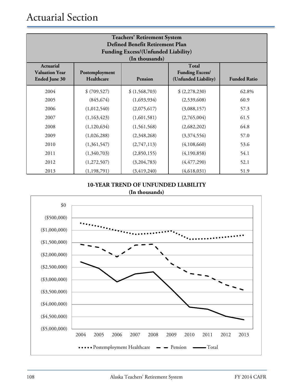| <b>Teachers' Retirement System</b><br>Defined Benefit Retirement Plan<br><b>Funding Excess/(Unfunded Liability)</b><br>(In thousands) |                              |               |                                                                |                     |  |  |  |
|---------------------------------------------------------------------------------------------------------------------------------------|------------------------------|---------------|----------------------------------------------------------------|---------------------|--|--|--|
| <b>Actuarial</b><br><b>Valuation Year</b><br><b>Ended June 30</b>                                                                     | Postemployment<br>Healthcare | Pension       | <b>Total</b><br><b>Funding Excess/</b><br>(Unfunded Liability) | <b>Funded Ratio</b> |  |  |  |
| 2004                                                                                                                                  | \$ (709, 527)                | \$(1,568,703) | (2,278,230)                                                    | 62.8%               |  |  |  |
| 2005                                                                                                                                  | (845, 674)                   | (1,693,934)   | (2,539,608)                                                    | 60.9                |  |  |  |
| 2006                                                                                                                                  | (1,012,540)                  | (2,075,617)   | (3,088,157)                                                    | 57.3                |  |  |  |
| 2007                                                                                                                                  | (1,163,423)                  | (1,601,581)   | (2,765,004)                                                    | 61.5                |  |  |  |
| 2008                                                                                                                                  | (1,120,634)                  | (1,561,568)   | (2,682,202)                                                    | 64.8                |  |  |  |
| 2009                                                                                                                                  | (1,026,288)                  | (2,348,268)   | (3,374,556)                                                    | 57.0                |  |  |  |
| 2010                                                                                                                                  | (1,361,547)                  | (2,747,113)   | (4,108,660)                                                    | 53.6                |  |  |  |
| 2011                                                                                                                                  | (1,340,703)                  | (2,850,155)   | (4,190,858)                                                    | 54.1                |  |  |  |
| 2012                                                                                                                                  | (1,272,507)                  | (3,204,783)   | (4, 477, 290)                                                  | 52.1                |  |  |  |
| 2013                                                                                                                                  | (1, 198, 791)                | (3, 419, 240) | (4,618,031)                                                    | 51.9                |  |  |  |

### **10-YEAR TREND OF UNFUNDED LIABILITY (In thousands)**

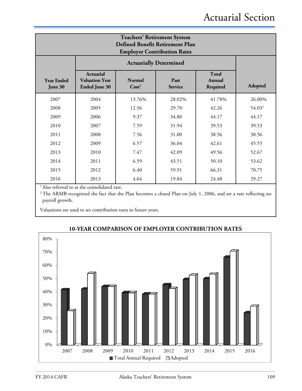| <b>Teachers' Retirement System</b><br><b>Defined Benefit Retirement Plan</b><br><b>Employer Contribution Rates</b> |                                                                   |         |        |        |                    |  |  |
|--------------------------------------------------------------------------------------------------------------------|-------------------------------------------------------------------|---------|--------|--------|--------------------|--|--|
|                                                                                                                    | <b>Actuarially Determined</b>                                     |         |        |        |                    |  |  |
| <b>Year Ended</b><br>June 30                                                                                       | <b>Actuarial</b><br><b>Valuation Year</b><br><b>Ended June 30</b> | Adopted |        |        |                    |  |  |
| 2007                                                                                                               | 2004                                                              | 13.76%  | 28.02% | 41.78% | 26.00%             |  |  |
| 2008                                                                                                               | 2005                                                              | 12.56   | 29.70  | 42.26  | 54.03 <sup>2</sup> |  |  |
| 2009                                                                                                               | 2006                                                              | 9.37    | 34.80  | 44.17  | 44.17              |  |  |
| 2010                                                                                                               | 2007                                                              | 7.59    | 31.94  | 39.53  | 39.53              |  |  |
| 2011                                                                                                               | 2008                                                              | 7.56    | 31.00  | 38.56  | 38.56              |  |  |
| 2012                                                                                                               | 2009                                                              | 6.57    | 36.04  | 42.61  | 45.55              |  |  |
| 2013                                                                                                               | 2010                                                              | 7.47    | 42.09  | 49.56  | 52.67              |  |  |
| 2014                                                                                                               | 2011                                                              | 6.59    | 43.51  | 50.10  | 53.62              |  |  |
| 2015                                                                                                               | 2012                                                              | 6.40    | 59.91  | 66.31  | 70.75              |  |  |
| 2016                                                                                                               | 2013                                                              | 4.64    | 19.84  | 24.48  | 29.27              |  |  |

<sup>1</sup> Also referred to as the consolidated rate.

<sup>2</sup> The ARMB recognized the fact that the Plan becomes a closed Plan on July 1, 2006, and set a rate reflecting no payroll growth.

Valuations are used to set contribution rates in future years.



## **10-YEAR COMPARISON OF EMPLOYER CONTRIBUTION RATES**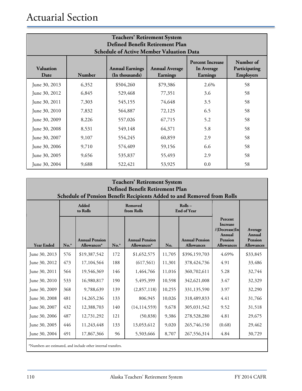# Actuarial Section

| <b>Teachers' Retirement System</b><br>Defined Benefit Retirement Plan<br><b>Schedule of Active Member Valuation Data</b> |        |                                          |                                          |                                                                 |                                                |  |  |
|--------------------------------------------------------------------------------------------------------------------------|--------|------------------------------------------|------------------------------------------|-----------------------------------------------------------------|------------------------------------------------|--|--|
| <b>Valuation</b><br>Date                                                                                                 | Number | <b>Annual Earnings</b><br>(In thousands) | <b>Annual Average</b><br><b>Earnings</b> | <b>Percent Increase</b><br><b>In Average</b><br><b>Earnings</b> | Number of<br>Participating<br><b>Employers</b> |  |  |
| June 30, 2013                                                                                                            | 6,352  | \$504,260                                | \$79,386                                 | 2.6%                                                            | 58                                             |  |  |
| June 30, 2012                                                                                                            | 6,845  | 529,468                                  | 77,351                                   | 3.6                                                             | 58                                             |  |  |
| June 30, 2011                                                                                                            | 7,303  | 545,155                                  | 74,648                                   | 3.5                                                             | 58                                             |  |  |
| June 30, 2010                                                                                                            | 7,832  | 564,887                                  | 72,125                                   | 6.5                                                             | 58                                             |  |  |
| June 30, 2009                                                                                                            | 8,226  | 557,026                                  | 67,715                                   | 5.2                                                             | 58                                             |  |  |
| June 30, 2008                                                                                                            | 8,531  | 549,148                                  | 64,371                                   | 5.8                                                             | 58                                             |  |  |
| June 30, 2007                                                                                                            | 9,107  | 554,245                                  | 60,859                                   | 2.9                                                             | 58                                             |  |  |
| June 30, 2006                                                                                                            | 9,710  | 574,409                                  | 59,156                                   | 6.6                                                             | 58                                             |  |  |
| June 30, 2005                                                                                                            | 9,656  | 535,837                                  | 55,493                                   | 2.9                                                             | 58                                             |  |  |
| June 30, 2004                                                                                                            | 9,688  | 522,421                                  | 53,925                                   | 0.0                                                             | 58                                             |  |  |

| <b>Teachers' Retirement System</b><br>Defined Benefit Retirement Plan<br>Schedule of Pension Benefit Recipients Added to and Removed from Rolls |        |                                                               |        |                                      |        |                                            |                                                                                                        |                                                          |  |
|-------------------------------------------------------------------------------------------------------------------------------------------------|--------|---------------------------------------------------------------|--------|--------------------------------------|--------|--------------------------------------------|--------------------------------------------------------------------------------------------------------|----------------------------------------------------------|--|
|                                                                                                                                                 |        | <b>Added</b><br>to Rolls                                      |        | <b>Removed</b><br>from Rolls         |        | $Rolls -$<br><b>End of Year</b>            |                                                                                                        |                                                          |  |
| <b>Year Ended</b>                                                                                                                               | $No.*$ | <b>Annual Pension</b><br>Allowances*                          | $No.*$ | <b>Annual Pension</b><br>Allowances* | No.    | <b>Annual Pension</b><br><b>Allowances</b> | Percent<br><b>Increase</b><br>$/(Decrease)$ In<br><b>Annual</b><br><b>Pension</b><br><b>Allowances</b> | Average<br>Annual<br><b>Pension</b><br><b>Allowances</b> |  |
| June 30, 2013                                                                                                                                   | 576    | \$19,387,542                                                  | 172    | \$1,652,575                          | 11,705 | \$396,159,703                              | 4.69%                                                                                                  | \$33,845                                                 |  |
| June 30, 2012                                                                                                                                   | 473    | 17,104,564                                                    | 188    | (617, 561)                           | 11,301 | 378, 424, 736                              | 4.91                                                                                                   | 33,486                                                   |  |
| June 30, 2011                                                                                                                                   | 564    | 19,546,369                                                    | 146    | 1,464,766                            | 11,016 | 360,702,611                                | 5.28                                                                                                   | 32,744                                                   |  |
| June 30, 2010                                                                                                                                   | 533    | 16,980,817                                                    | 190    | 5,495,399                            | 10,598 | 342,621,008                                | 3.47                                                                                                   | 32,329                                                   |  |
| June 30, 2009                                                                                                                                   | 368    | 9,788,639                                                     | 139    | (2,857,118)                          | 10,255 | 331,135,590                                | 3.97                                                                                                   | 32,290                                                   |  |
| June 30, 2008                                                                                                                                   | 481    | 14,265,236                                                    | 133    | 806,945                              | 10,026 | 318,489,833                                | 4.41                                                                                                   | 31,766                                                   |  |
| June 30, 2007                                                                                                                                   | 432    | 12,388,703                                                    | 140    | (14, 114, 559)                       | 9,678  | 305,031,542                                | 9.52                                                                                                   | 31,518                                                   |  |
| June 30, 2006                                                                                                                                   | 487    | 12,731,292                                                    | 121    | (50, 838)                            | 9,386  | 278,528,280                                | 4.81                                                                                                   | 29,675                                                   |  |
| June 30, 2005                                                                                                                                   | 446    | 11,243,448                                                    | 133    | 13,053,612                           | 9,020  | 265,746,150                                | (0.68)                                                                                                 | 29,462                                                   |  |
| June 30, 2004                                                                                                                                   | 491    | 17,867,366                                                    | 96     | 5,503,666                            | 8,707  | 267,556,314                                | 4.84                                                                                                   | 30,729                                                   |  |
|                                                                                                                                                 |        | *Numbers are estimated, and include other internal transfers. |        |                                      |        |                                            |                                                                                                        |                                                          |  |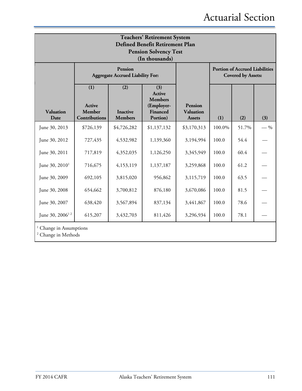| <b>Teachers' Retirement System</b><br>Defined Benefit Retirement Plan<br><b>Pension Solvency Test</b><br>(In thousands) |                                                           |                                          |                                                                       |                                                     |                                                                    |       |       |  |
|-------------------------------------------------------------------------------------------------------------------------|-----------------------------------------------------------|------------------------------------------|-----------------------------------------------------------------------|-----------------------------------------------------|--------------------------------------------------------------------|-------|-------|--|
|                                                                                                                         | <b>Pension</b><br><b>Aggregate Accrued Liability For:</b> |                                          |                                                                       |                                                     | <b>Portion of Accrued Liabilities</b><br><b>Covered by Assets:</b> |       |       |  |
| <b>Valuation</b><br>Date                                                                                                | (1)<br><b>Active</b><br>Member<br><b>Contributions</b>    | (2)<br><b>Inactive</b><br><b>Members</b> | (3)<br>Active<br><b>Members</b><br>(Employer-<br>Financed<br>Portion) | <b>Pension</b><br><b>Valuation</b><br><b>Assets</b> | (1)                                                                | (2)   | (3)   |  |
| June 30, 2013                                                                                                           | \$726,139                                                 | \$4,726,282                              | \$1,137,132                                                           | \$3,170,313                                         | 100.0%                                                             | 51.7% | $-$ % |  |
| June 30, 2012                                                                                                           | 727,435                                                   | 4,532,982                                | 1,139,360                                                             | 3,194,994                                           | 100.0                                                              | 54.4  |       |  |
| June 30, 2011                                                                                                           | 717,819                                                   | 4,352,035                                | 1,126,250                                                             | 3,345,949                                           | 100.0                                                              | 60.4  |       |  |
| June 30, 2010 <sup>1</sup>                                                                                              | 716,675                                                   | 4,153,119                                | 1,137,187                                                             | 3,259,868                                           | 100.0                                                              | 61.2  |       |  |
| June 30, 2009                                                                                                           | 692,105                                                   | 3,815,020                                | 956,862                                                               | 3,115,719                                           | 100.0                                                              | 63.5  |       |  |
| June 30, 2008                                                                                                           | 654,662                                                   | 3,700,812                                | 876,180                                                               | 3,670,086                                           | 100.0                                                              | 81.5  |       |  |
| June 30, 2007                                                                                                           | 638,420                                                   | 3,567,894                                | 837,134                                                               | 3,441,867                                           | 100.0                                                              | 78.6  |       |  |
| June 30, 2006 <sup>12</sup>                                                                                             | 615,207                                                   | 3,432,703                                | 811,426                                                               | 3,296,934                                           | 100.0                                                              | 78.1  |       |  |
| Change in Assumptions<br><sup>2</sup> Change in Methods                                                                 |                                                           |                                          |                                                                       |                                                     |                                                                    |       |       |  |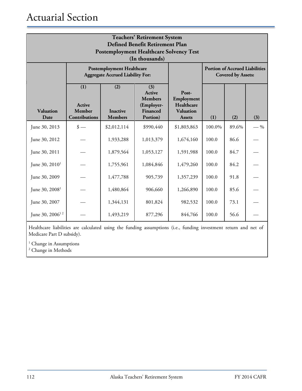| <b>Teachers' Retirement System</b><br>Defined Benefit Retirement Plan<br><b>Postemployment Healthcare Solvency Test</b><br>(In thousands) |                                                                             |                                          |                                                                              |                                                                        |        |                                                                    |       |  |  |
|-------------------------------------------------------------------------------------------------------------------------------------------|-----------------------------------------------------------------------------|------------------------------------------|------------------------------------------------------------------------------|------------------------------------------------------------------------|--------|--------------------------------------------------------------------|-------|--|--|
|                                                                                                                                           | <b>Postemployment Healthcare</b><br><b>Aggregate Accrued Liability For:</b> |                                          |                                                                              |                                                                        |        | <b>Portion of Accrued Liabilities</b><br><b>Covered by Assets:</b> |       |  |  |
| <b>Valuation</b><br>Date                                                                                                                  | (1)<br><b>Active</b><br>Member<br><b>Contributions</b>                      | (2)<br><b>Inactive</b><br><b>Members</b> | (3)<br><b>Active</b><br><b>Members</b><br>(Employer-<br>Financed<br>Portion) | Post-<br>Employment<br>Healthcare<br><b>Valuation</b><br><b>Assets</b> | (1)    | (2)                                                                | (3)   |  |  |
| June 30, 2013                                                                                                                             | $\frac{\text{I}}{\text{I}}$                                                 | \$2,012,114                              | \$990,440                                                                    | \$1,803,863                                                            | 100.0% | 89.6%                                                              | $-$ % |  |  |
| June 30, 2012                                                                                                                             |                                                                             | 1,933,288                                | 1,013,379                                                                    | 1,674,160                                                              | 100.0  | 86.6                                                               |       |  |  |
| June 30, 2011                                                                                                                             |                                                                             | 1,879,564                                | 1,053,127                                                                    | 1,591,988                                                              | 100.0  | 84.7                                                               |       |  |  |
| June 30, $2010^1$                                                                                                                         |                                                                             | 1,755,961                                | 1,084,846                                                                    | 1,479,260                                                              | 100.0  | 84.2                                                               |       |  |  |
| June 30, 2009                                                                                                                             |                                                                             | 1,477,788                                | 905,739                                                                      | 1,357,239                                                              | 100.0  | 91.8                                                               |       |  |  |
| June $30, 20081$                                                                                                                          |                                                                             | 1,480,864                                | 906,660                                                                      | 1,266,890                                                              | 100.0  | 85.6                                                               |       |  |  |
| June 30, 2007                                                                                                                             |                                                                             | 1,344,131                                | 801,824                                                                      | 982,532                                                                | 100.0  | 73.1                                                               |       |  |  |
| June 30, 2006 <sup>12</sup>                                                                                                               |                                                                             | 1,493,219                                | 877,296                                                                      | 844,766                                                                | 100.0  | 56.6                                                               |       |  |  |

Healthcare liabilities are calculated using the funding assumptions (i.e., funding investment return and net of Medicare Part D subsidy).

 $^{\rm 1}$  Change in Assumptions

<sup>2</sup> Change in Methods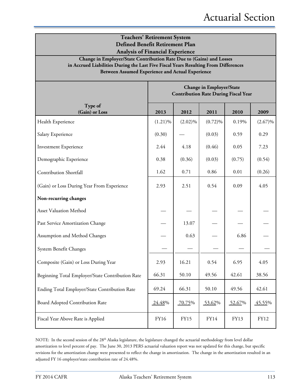| <b>Teachers' Retirement System</b><br>Defined Benefit Retirement Plan<br><b>Analysis of Financial Experience</b>                                                                                                |                                                                                |             |            |        |             |  |  |
|-----------------------------------------------------------------------------------------------------------------------------------------------------------------------------------------------------------------|--------------------------------------------------------------------------------|-------------|------------|--------|-------------|--|--|
| Change in Employer/State Contribution Rate Due to (Gains) and Losses<br>in Accrued Liabilities During the Last Five Fiscal Years Resulting From Differences<br>Between Assumed Experience and Actual Experience |                                                                                |             |            |        |             |  |  |
|                                                                                                                                                                                                                 | <b>Change in Employer/State</b><br><b>Contribution Rate During Fiscal Year</b> |             |            |        |             |  |  |
| Type of<br>(Gain) or Loss                                                                                                                                                                                       | 2013                                                                           | 2012        | 2011       | 2010   | 2009        |  |  |
| Health Experience                                                                                                                                                                                               | $(1.21)\%$                                                                     | $(2.02)\%$  | $(0.72)\%$ | 0.19%  | $(2.67)\%$  |  |  |
| Salary Experience                                                                                                                                                                                               | (0.30)                                                                         |             | (0.03)     | 0.59   | 0.29        |  |  |
| <b>Investment Experience</b>                                                                                                                                                                                    | 2.44                                                                           | 4.18        | (0.46)     | 0.05   | 7.23        |  |  |
| Demographic Experience                                                                                                                                                                                          | 0.38                                                                           | (0.36)      | (0.03)     | (0.75) | (0.54)      |  |  |
| <b>Contribution Shortfall</b>                                                                                                                                                                                   | 1.62                                                                           | 0.71        | 0.86       | 0.01   | (0.26)      |  |  |
| (Gain) or Loss During Year From Experience                                                                                                                                                                      | 2.93                                                                           | 2.51        | 0.54       | 0.09   | 4.05        |  |  |
| Non-recurring changes                                                                                                                                                                                           |                                                                                |             |            |        |             |  |  |
| Asset Valuation Method                                                                                                                                                                                          |                                                                                |             |            |        |             |  |  |
| Past Service Amortization Change                                                                                                                                                                                |                                                                                | 13.07       |            |        |             |  |  |
| Assumption and Method Changes                                                                                                                                                                                   |                                                                                | 0.63        |            | 6.86   |             |  |  |
| System Benefit Changes                                                                                                                                                                                          |                                                                                |             |            |        |             |  |  |
| Composite (Gain) or Loss During Year                                                                                                                                                                            | 2.93                                                                           | 16.21       | 0.54       | 6.95   | 4.05        |  |  |
| Beginning Total Employer/State Contribution Rate                                                                                                                                                                | 66.31                                                                          | 50.10       | 49.56      | 42.61  | 38.56       |  |  |
| Ending Total Employer/State Contribution Rate                                                                                                                                                                   | 69.24                                                                          | 66.31       | 50.10      | 49.56  | 42.61       |  |  |
| Board Adopted Contribution Rate                                                                                                                                                                                 | 24.48%                                                                         | 70.75%      | 53.62%     | 52.67% | 45.55%      |  |  |
| Fiscal Year Above Rate is Applied                                                                                                                                                                               | FY16                                                                           | <b>FY15</b> | FY14       | FY13   | <b>FY12</b> |  |  |

NOTE: In the second session of the 28<sup>th</sup> Alaska legislature, the legislature changed the actuarial methodology from level dollar amortization to level percent of pay. The June 30, 2013 PERS actuarial valuation report was not updated for this change, but specific revisions for the amortization change were presented to reflect the change in amortization. The change in the amortization resulted in an adjusted FY 16 employer/state contribution rate of 24.48%.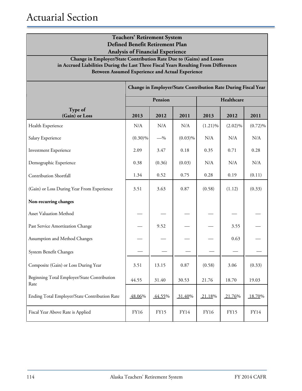| <b>Teachers' Retirement System</b><br>Defined Benefit Retirement Plan<br><b>Analysis of Financial Experience</b><br>Change in Employer/State Contribution Rate Due to (Gains) and Losses<br>in Accrued Liabilities During the Last Three Fiscal Years Resulting From Differences<br><b>Between Assumed Experience and Actual Experience</b> |                                                               |         |            |            |            |            |  |
|---------------------------------------------------------------------------------------------------------------------------------------------------------------------------------------------------------------------------------------------------------------------------------------------------------------------------------------------|---------------------------------------------------------------|---------|------------|------------|------------|------------|--|
|                                                                                                                                                                                                                                                                                                                                             | Change in Employer/State Contribution Rate During Fiscal Year |         |            |            |            |            |  |
|                                                                                                                                                                                                                                                                                                                                             |                                                               | Pension |            |            | Healthcare |            |  |
| Type of<br>(Gain) or Loss                                                                                                                                                                                                                                                                                                                   | 2013                                                          | 2012    | 2011       | 2013       | 2012       | 2011       |  |
| Health Experience                                                                                                                                                                                                                                                                                                                           | N/A                                                           | N/A     | N/A        | $(1.21)\%$ | $(2.02)\%$ | $(0.72)\%$ |  |
| Salary Experience                                                                                                                                                                                                                                                                                                                           | $(0.30)\%$                                                    | $-$ %   | $(0.03)\%$ | N/A        | N/A        | N/A        |  |
| <b>Investment Experience</b>                                                                                                                                                                                                                                                                                                                | 2.09                                                          | 3.47    | 0.18       | 0.35       | 0.71       | 0.28       |  |
| Demographic Experience                                                                                                                                                                                                                                                                                                                      | 0.38                                                          | (0.36)  | (0.03)     | N/A        | N/A        | N/A        |  |
| Contribution Shortfall                                                                                                                                                                                                                                                                                                                      | 1.34                                                          | 0.52    | 0.75       | 0.28       | 0.19       | (0.11)     |  |
| (Gain) or Loss During Year From Experience                                                                                                                                                                                                                                                                                                  | 3.51                                                          | 3.63    | 0.87       | (0.58)     | (1.12)     | (0.33)     |  |
| Non-recurring changes                                                                                                                                                                                                                                                                                                                       |                                                               |         |            |            |            |            |  |
| <b>Asset Valuation Method</b>                                                                                                                                                                                                                                                                                                               |                                                               |         |            |            |            |            |  |
| Past Service Amortization Change                                                                                                                                                                                                                                                                                                            |                                                               | 9.52    |            |            | 3.55       |            |  |
| Assumption and Method Changes                                                                                                                                                                                                                                                                                                               |                                                               |         |            |            | 0.63       |            |  |
| System Benefit Changes                                                                                                                                                                                                                                                                                                                      |                                                               |         |            |            |            |            |  |
| Composite (Gain) or Loss During Year                                                                                                                                                                                                                                                                                                        | 3.51                                                          | 13.15   | 0.87       | (0.58)     | 3.06       | (0.33)     |  |
| Beginning Total Employer/State Contribution<br>Rate                                                                                                                                                                                                                                                                                         | 44.55                                                         | 31.40   | 30.53      | 21.76      | 18.70      | 19.03      |  |
| Ending Total Employer/State Contribution Rate                                                                                                                                                                                                                                                                                               | 48.06%                                                        | 44.55%  | 31.40%     | 21.18%     | 21.76%     | 18.70%     |  |
| Fiscal Year Above Rate is Applied                                                                                                                                                                                                                                                                                                           | FY16                                                          | FY15    | FY14       | FY16       | FY15       | FY14       |  |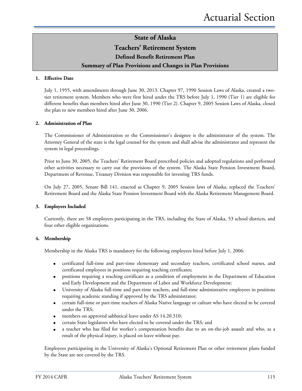### **Teachers' Retirement System**

## **Defined Benefit Retirement Plan**

### **Summary of Plan Provisions and Changes in Plan Provisions**

#### **1. Effective Date**

July 1, 1955, with amendments through June 30, 2013. Chapter 97, 1990 Session Laws of Alaska, created a twotier retirement system. Members who were first hired under the TRS before July 1, 1990 (Tier 1) are eligible for different benefits than members hired after June 30, 1990 (Tier 2). Chapter 9, 2005 Session Laws of Alaska, closed the plan to new members hired after June 30, 2006.

#### **2. Administration of Plan**

The Commissioner of Administration or the Commissioner's designee is the administrator of the system. The Attorney General of the state is the legal counsel for the system and shall advise the administrator and represent the system in legal proceedings.

Prior to June 30, 2005, the Teachers' Retirement Board prescribed policies and adopted regulations and performed other activities necessary to carry out the provisions of the system. The Alaska State Pension Investment Board, Department of Revenue, Treasury Division was responsible for investing TRS funds.

On July 27, 2005, Senate Bill 141, enacted as Chapter 9, 2005 Session laws of Alaska, replaced the Teachers' Retirement Board and the Alaska State Pension Investment Board with the Alaska Retirement Management Board.

#### **3. Employers Included**

Currently, there are 58 employers participating in the TRS, including the State of Alaska, 53 school districts, and four other eligible organizations.

#### **4. Membership**

Membership in the Alaska TRS is mandatory for the following employees hired before July 1, 2006:

- certificated full-time and part-time elementary and secondary teachers, certificated school nurses, and certificated employees in positions requiring teaching certificates;
- positions requiring a teaching certificate as a condition of employment in the Department of Education and Early Development and the Department of Labor and Workforce Development;
- University of Alaska full-time and part-time teachers, and full-time administrative employees in positions requiring academic standing if approved by the TRS administrator;
- certain full-time or part-time teachers of Alaska Native language or culture who have elected to be covered under the TRS;
- members on approved sabbatical leave under AS 14.20.310;
- certain State legislators who have elected to be covered under the TRS; and
- a teacher who has filed for worker's compensation benefits due to an on-the-job assault and who, as a result of the physical injury, is placed on leave without pay.

Employees participating in the University of Alaska's Optional Retirement Plan or other retirement plans funded by the State are not covered by the TRS.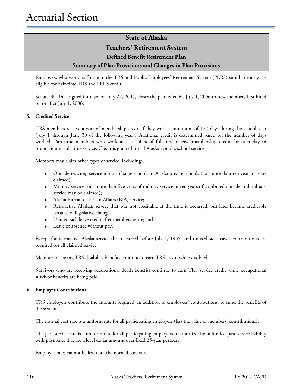### **Teachers' Retirement System**

### **Defined Benefit Retirement Plan**

### **Summary of Plan Provisions and Changes in Plan Provisions**

Employees who work half-time in the TRS and Public Employees' Retirement System (PERS) simultaneously are eligible for half-time TRS and PERS credit.

Senate Bill 141, signed into law on July 27, 2005, closes the plan effective July 1, 2006 to new members first hired on or after July 1, 2006.

#### **5. Credited Service**

TRS members receive a year of membership credit if they work a minimum of 172 days during the school year (July 1 through June 30 of the following year). Fractional credit is determined based on the number of days worked. Part-time members who work at least 50% of full-time receive membership credit for each day in proportion to full-time service. Credit is granted for all Alaskan public school service.

Members may claim other types of service, including:

- Outside teaching service in out-of-state schools or Alaska private schools (not more than ten years may be claimed);
- Military service (not more than five years of military service or ten years of combined outside and military service may be claimed);
- Alaska Bureau of Indian Affairs (BIA) service;
- Retroactive Alaskan service that was not creditable at the time it occurred, but later became creditable because of legislative change;
- Unused sick leave credit after members retire; and
- Leave of absence without pay.

Except for retroactive Alaska service that occurred before July 1, 1955, and unused sick leave, contributions are required for all claimed service.

Members receiving TRS disability benefits continue to earn TRS credit while disabled.

Survivors who are receiving occupational death benefits continue to earn TRS service credit while occupational survivor benefits are being paid.

#### **6. Employer Contributions**

TRS employers contribute the amounts required, in addition to employees' contributions, to fund the benefits of the system.

The normal cost rate is a uniform rate for all participating employers (less the value of members' contributions).

The past service rate is a uniform rate for all participating employers to amortize the unfunded past service liability with payments that are a level dollar amount over fixed 25-year periods.

Employer rates cannot be less than the normal cost rate.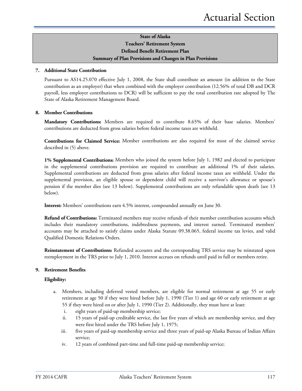### **State of Alaska Teachers' Retirement System Defined Benefit Retirement Plan Summary of Plan Provisions and Changes in Plan Provisions**

#### **7. Additional State Contribution**

Pursuant to AS14.25.070 effective July 1, 2008, the State shall contribute an amount (in addition to the State contribution as an employer) that when combined with the employer contribution (12.56% of total DB and DCR payroll, less employer contributions to DCR) will be sufficient to pay the total contribution rate adopted by The State of Alaska Retirement Management Board.

#### **8. Member Contributions**

**Mandatory Contributions:** Members are required to contribute 8.65% of their base salaries. Members' contributions are deducted from gross salaries before federal income taxes are withheld.

**Contributions for Claimed Service:** Member contributions are also required for most of the claimed service described in (5) above.

**1% Supplemental Contributions:** Members who joined the system before July 1, 1982 and elected to participate in the supplemental contributions provision are required to contribute an additional 1% of their salaries. Supplemental contributions are deducted from gross salaries after federal income taxes are withheld. Under the supplemental provision, an eligible spouse or dependent child will receive a survivor's allowance or spouse's pension if the member dies (see 13 below). Supplemental contributions are only refundable upon death (see 13 below).

**Interest:** Members' contributions earn 4.5% interest, compounded annually on June 30.

**Refund of Contributions:** Terminated members may receive refunds of their member contribution accounts which includes their mandatory contributions, indebtedness payments, and interest earned. Terminated members' accounts may be attached to satisfy claims under Alaska Statute 09.38.065, federal income tax levies, and valid Qualified Domestic Relations Orders.

**Reinstatement of Contributions:** Refunded accounts and the corresponding TRS service may be reinstated upon reemployment in the TRS prior to July 1, 2010. Interest accrues on refunds until paid in full or members retire.

#### **9. Retirement Benefits**

#### **Eligibility:**

- a. Members, including deferred vested members, are eligible for normal retirement at age 55 or early retirement at age 50 if they were hired before July 1, 1990 (Tier 1) and age 60 or early retirement at age 55 if they were hired on or after July 1, 1990 (Tier 2). Additionally, they must have at least:
	- i. eight years of paid-up membership service;
	- ii. 15 years of paid-up creditable service, the last five years of which are membership service, and they were first hired under the TRS before July 1, 1975;
	- iii. five years of paid-up membership service and three years of paid-up Alaska Bureau of Indian Affairs service;
	- iv. 12 years of combined part-time and full-time paid-up membership service;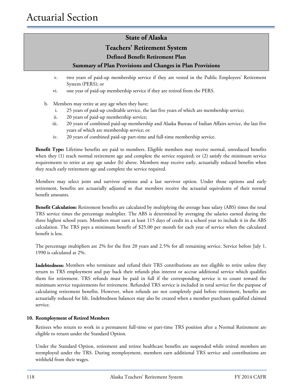## **Teachers' Retirement System**

### **Defined Benefit Retirement Plan**

### **Summary of Plan Provisions and Changes in Plan Provisions**

- v. two years of paid-up membership service if they are vested in the Public Employees' Retirement System (PERS); or
- vi. one year of paid-up membership service if they are retired from the PERS.
- b. Members may retire at any age when they have:
	- i. 25 years of paid-up creditable service, the last five years of which are membership service;
	- ii. 20 years of paid-up membership service;
	- iii. 20 years of combined paid-up membership and Alaska Bureau of Indian Affairs service, the last five years of which are membership service; or
	- iv. 20 years of combined paid-up part-time and full-time membership service.

**Benefit Type:** Lifetime benefits are paid to members. Eligible members may receive normal, unreduced benefits when they (1) reach normal retirement age and complete the service required; or (2) satisfy the minimum service requirements to retire at any age under (b) above. Members may receive early, actuarially reduced benefits when they reach early retirement age and complete the service required.

Members may select joint and survivor options and a last survivor option. Under those options and early retirement, benefits are actuarially adjusted so that members receive the actuarial equivalents of their normal benefit amounts.

**Benefit Calculation:** Retirement benefits are calculated by multiplying the average base salary (ABS) times the total TRS service times the percentage multiplier. The ABS is determined by averaging the salaries earned during the three highest school years. Members must earn at least 115 days of credit in a school year to include it in the ABS calculation. The TRS pays a minimum benefit of \$25.00 per month for each year of service when the calculated benefit is less.

The percentage multipliers are 2% for the first 20 years and 2.5% for all remaining service. Service before July 1, 1990 is calculated at 2%.

**Indebtedness:** Members who terminate and refund their TRS contributions are not eligible to retire unless they return to TRS employment and pay back their refunds plus interest or accrue additional service which qualifies them for retirement. TRS refunds must be paid in full if the corresponding service is to count toward the minimum service requirements for retirement. Refunded TRS service is included in total service for the purpose of calculating retirement benefits. However, when refunds are not completely paid before retirement, benefits are actuarially reduced for life. Indebtedness balances may also be created when a member purchases qualified claimed service.

#### **10. Reemployment of Retired Members**

Retirees who return to work in a permanent full-time or part-time TRS position after a Normal Retirement are eligible to return under the Standard Option.

Under the Standard Option, retirement and retiree healthcare benefits are suspended while retired members are reemployed under the TRS. During reemployment, members earn additional TRS service and contributions are withheld from their wages.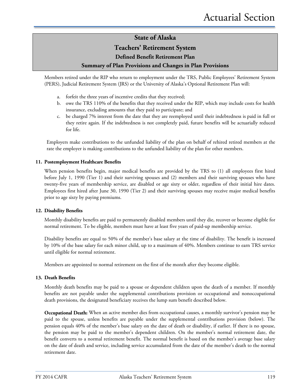### **Teachers' Retirement System**

### **Defined Benefit Retirement Plan**

### **Summary of Plan Provisions and Changes in Plan Provisions**

Members retired under the RIP who return to employment under the TRS, Public Employees' Retirement System (PERS), Judicial Retirement System (JRS) or the University of Alaska's Optional Retirement Plan will:

- a. forfeit the three years of incentive credits that they received;
- b. owe the TRS 110% of the benefits that they received under the RIP, which may include costs for health insurance, excluding amounts that they paid to participate; and
- c. be charged 7% interest from the date that they are reemployed until their indebtedness is paid in full or they retire again. If the indebtedness is not completely paid, future benefits will be actuarially reduced for life.

Employers make contributions to the unfunded liability of the plan on behalf of rehired retired members at the rate the employer is making contributions to the unfunded liability of the plan for other members.

#### **11. Postemployment Healthcare Benefits**

When pension benefits begin, major medical benefits are provided by the TRS to (1) all employees first hired before July 1, 1990 (Tier 1) and their surviving spouses and (2) members and their surviving spouses who have twenty-five years of membership service, are disabled or age sixty or older, regardless of their initial hire dates. Employees first hired after June 30, 1990 (Tier 2) and their surviving spouses may receive major medical benefits prior to age sixty by paying premiums.

#### **12. Disability Benefits**

Monthly disability benefits are paid to permanently disabled members until they die, recover or become eligible for normal retirement. To be eligible, members must have at least five years of paid-up membership service.

Disability benefits are equal to 50% of the member's base salary at the time of disability. The benefit is increased by 10% of the base salary for each minor child, up to a maximum of 40%. Members continue to earn TRS service until eligible for normal retirement.

Members are appointed to normal retirement on the first of the month after they become eligible.

#### **13. Death Benefits**

Monthly death benefits may be paid to a spouse or dependent children upon the death of a member. If monthly benefits are not payable under the supplemental contributions provision or occupational and nonoccupational death provisions, the designated beneficiary receives the lump sum benefit described below.

**Occupational Death:** When an active member dies from occupational causes, a monthly survivor's pension may be paid to the spouse, unless benefits are payable under the supplemental contributions provision (below). The pension equals 40% of the member's base salary on the date of death or disability, if earlier. If there is no spouse, the pension may be paid to the member's dependent children. On the member's normal retirement date, the benefit converts to a normal retirement benefit. The normal benefit is based on the member's average base salary on the date of death and service, including service accumulated from the date of the member's death to the normal retirement date.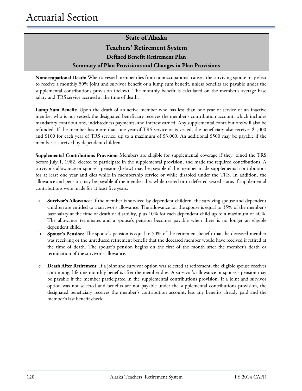# **State of Alaska Teachers' Retirement System Defined Benefit Retirement Plan Summary of Plan Provisions and Changes in Plan Provisions**

**Nonoccupational Death:** When a vested member dies from nonoccupational causes, the surviving spouse may elect to receive a monthly 50% joint and survivor benefit or a lump sum benefit, unless benefits are payable under the supplemental contributions provision (below). The monthly benefit is calculated on the member's average base salary and TRS service accrued at the time of death.

**Lump Sum Benefit:** Upon the death of an active member who has less than one year of service or an inactive member who is not vested, the designated beneficiary receives the member's contribution account, which includes mandatory contributions, indebtedness payments, and interest earned. Any supplemental contributions will also be refunded. If the member has more than one year of TRS service or is vested, the beneficiary also receives \$1,000 and \$100 for each year of TRS service, up to a maximum of \$3,000. An additional \$500 may be payable if the member is survived by dependent children.

**Supplemental Contributions Provision:** Members are eligible for supplemental coverage if they joined the TRS before July 1, 1982, elected to participate in the supplemental provision, and made the required contributions. A survivor's allowance or spouse's pension (below) may be payable if the member made supplemental contributions for at least one year and dies while in membership service or while disabled under the TRS. In addition, the allowance and pension may be payable if the member dies while retired or in deferred vested status if supplemental contributions were made for at least five years.

- a. **Survivor's Allowance:** If the member is survived by dependent children, the surviving spouse and dependent children are entitled to a survivor's allowance. The allowance for the spouse is equal to 35% of the member's base salary at the time of death or disability, plus 10% for each dependent child up to a maximum of 40%. The allowance terminates and a spouse's pension becomes payable when there is no longer an eligible dependent child.
- b. **Spouse's Pension:** The spouse's pension is equal to 50% of the retirement benefit that the deceased member was receiving or the unreduced retirement benefit that the deceased member would have received if retired at the time of death. The spouse's pension begins on the first of the month after the member's death or termination of the survivor's allowance.
- c. **Death After Retirement:** If a joint and survivor option was selected at retirement, the eligible spouse receives continuing, lifetime monthly benefits after the member dies. A survivor's allowance or spouse's pension may be payable if the member participated in the supplemental contributions provision. If a joint and survivor option was not selected and benefits are not payable under the supplemental contributions provision, the designated beneficiary receives the member's contribution account, less any benefits already paid and the member's last benefit check.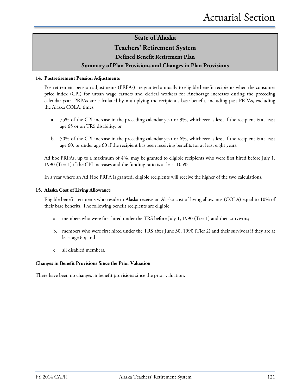### **Teachers' Retirement System**

### **Defined Benefit Retirement Plan**

### **Summary of Plan Provisions and Changes in Plan Provisions**

#### **14. Postretirement Pension Adjustments**

Postretirement pension adjustments (PRPAs) are granted annually to eligible benefit recipients when the consumer price index (CPI) for urban wage earners and clerical workers for Anchorage increases during the preceding calendar year. PRPAs are calculated by multiplying the recipient's base benefit, including past PRPAs, excluding the Alaska COLA, times:

- a. 75% of the CPI increase in the preceding calendar year or 9%, whichever is less, if the recipient is at least age 65 or on TRS disability; or
- b. 50% of the CPI increase in the preceding calendar year or 6%, whichever is less, if the recipient is at least age 60, or under age 60 if the recipient has been receiving benefits for at least eight years.

Ad hoc PRPAs, up to a maximum of 4%, may be granted to eligible recipients who were first hired before July 1, 1990 (Tier 1) if the CPI increases and the funding ratio is at least 105%.

In a year where an Ad Hoc PRPA is granted, eligible recipients will receive the higher of the two calculations.

#### **15. Alaska Cost of Living Allowance**

Eligible benefit recipients who reside in Alaska receive an Alaska cost of living allowance (COLA) equal to 10% of their base benefits. The following benefit recipients are eligible:

- a. members who were first hired under the TRS before July 1, 1990 (Tier 1) and their survivors;
- b. members who were first hired under the TRS after June 30, 1990 (Tier 2) and their survivors if they are at least age 65; and
- c. all disabled members.

#### **Changes in Benefit Provisions Since the Prior Valuation**

There have been no changes in benefit provisions since the prior valuation.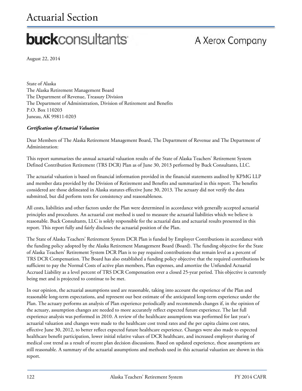# Actuarial Section

# **buck**consultants

# A Xerox Company

August 22, 2014

State of Alaska The Alaska Retirement Management Board The Department of Revenue, Treasury Division The Department of Administration, Division of Retirement and Benefits P.O. Box 110203 Juneau, AK 99811-0203

### *Certification of Actuarial Valuation*

Dear Members of The Alaska Retirement Management Board, The Department of Revenue and The Department of Administration:

This report summarizes the annual actuarial valuation results of the State of Alaska Teachers' Retirement System Defined Contribution Retirement (TRS DCR) Plan as of June 30, 2013 performed by Buck Consultants, LLC.

The actuarial valuation is based on financial information provided in the financial statements audited by KPMG LLP and member data provided by the Division of Retirement and Benefits and summarized in this report. The benefits considered are those delineated in Alaska statutes effective June 30, 2013. The actuary did not verify the data submitted, but did perform tests for consistency and reasonableness.

All costs, liabilities and other factors under the Plan were determined in accordance with generally accepted actuarial principles and procedures. An actuarial cost method is used to measure the actuarial liabilities which we believe is reasonable. Buck Consultants, LLC is solely responsible for the actuarial data and actuarial results presented in this report. This report fully and fairly discloses the actuarial position of the Plan.

The State of Alaska Teachers' Retirement System DCR Plan is funded by Employer Contributions in accordance with the funding policy adopted by the Alaska Retirement Management Board (Board). The funding objective for the State of Alaska Teachers' Retirement System DCR Plan is to pay required contributions that remain level as a percent of TRS DCR Compensation. The Board has also established a funding policy objective that the required contributions be sufficient to pay the Normal Costs of active plan members, Plan expenses, and amortize the Unfunded Actuarial Accrued Liability as a level percent of TRS DCR Compensation over a closed 25-year period. This objective is currently being met and is projected to continue to be met.

In our opinion, the actuarial assumptions used are reasonable, taking into account the experience of the Plan and reasonable long-term expectations, and represent our best estimate of the anticipated long-term experience under the Plan. The actuary performs an analysis of Plan experience periodically and recommends changes if, in the opinion of the actuary, assumption changes are needed to more accurately reflect expected future experience. The last full experience analysis was performed in 2010. A review of the healthcare assumptions was performed for last year's actuarial valuation and changes were made to the healthcare cost trend rates and the per capita claims cost rates, effective June 30, 2012, to better reflect expected future healthcare experience. Changes were also made to expected healthcare benefit participation, lower initial relative values of DCR healthcare, and increased employer sharing of medical cost trend as a result of recent plan decision discussions. Based on updated experience, these assumptions are still reasonable. A summary of the actuarial assumptions and methods used in this actuarial valuation are shown in this report.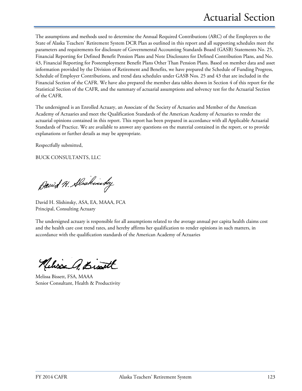The assumptions and methods used to determine the Annual Required Contributions (ARC) of the Employers to the State of Alaska Teachers' Retirement System DCR Plan as outlined in this report and all supporting schedules meet the parameters and requirements for disclosure of Governmental Accounting Standards Board (GASB) Statements No. 25, Financial Reporting for Defined Benefit Pension Plans and Note Disclosures for Defined Contribution Plans, and No. 43, Financial Reporting for Postemployment Benefit Plans Other Than Pension Plans. Based on member data and asset information provided by the Division of Retirement and Benefits, we have prepared the Schedule of Funding Progress, Schedule of Employer Contributions, and trend data schedules under GASB Nos. 25 and 43 that are included in the Financial Section of the CAFR. We have also prepared the member data tables shown in Section 4 of this report for the Statistical Section of the CAFR, and the summary of actuarial assumptions and solvency test for the Actuarial Section of the CAFR.

The undersigned is an Enrolled Actuary, an Associate of the Society of Actuaries and Member of the American Academy of Actuaries and meet the Qualification Standards of the American Academy of Actuaries to render the actuarial opinions contained in this report. This report has been prepared in accordance with all Applicable Actuarial Standards of Practice. We are available to answer any questions on the material contained in the report, or to provide explanations or further details as may be appropriate.

Respectfully submitted,

BUCK CONSULTANTS, LLC

David H. Alaskinsky

David H. Slishinsky, ASA, EA, MAAA, FCA Principal, Consulting Actuary

The undersigned actuary is responsible for all assumptions related to the average annual per capita health claims cost and the health care cost trend rates, and hereby affirms her qualification to render opinions in such matters, in accordance with the qualification standards of the American Academy of Actuaries

Achie A. Bist

Melissa Bissett, FSA, MAAA Senior Consultant, Health & Productivity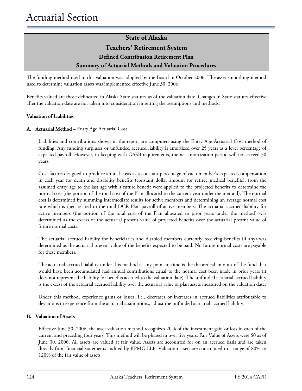# **State of Alaska Teachers' Retirement System Defined Contribution Retirement Plan Summary of Actuarial Methods and Valuation Procedures**

The funding method used in this valuation was adopted by the Board in October 2006. The asset smoothing method used to determine valuation assets was implemented effective June 30, 2006.

Benefits valued are those delineated in Alaska State statutes as of the valuation date. Changes in State statutes effective after the valuation date are not taken into consideration in setting the assumptions and methods.

#### **Valuation of Liabilities**

#### **A. Actuarial Method –** Entry Age Actuarial Cost

Liabilities and contributions shown in the report are computed using the Entry Age Actuarial Cost method of funding. Any funding surpluses or unfunded accrued liability is amortized over 25 years as a level percentage of expected payroll. However, in keeping with GASB requirements, the net amortization period will not exceed 30 years.

Cost factors designed to produce annual costs as a constant percentage of each member's expected compensation in each year for death and disability benefits (constant dollar amount for retiree medical benefits), from the assumed entry age to the last age with a future benefit were applied to the projected benefits to determine the normal cost (the portion of the total cost of the Plan allocated to the current year under the method). The normal cost is determined by summing intermediate results for active members and determining an average normal cost rate which is then related to the total DCR Plan payroll of active members. The actuarial accrued liability for active members (the portion of the total cost of the Plan allocated to prior years under the method) was determined as the excess of the actuarial present value of projected benefits over the actuarial present value of future normal costs.

The actuarial accrued liability for beneficiaries and disabled members currently receiving benefits (if any) was determined as the actuarial present value of the benefits expected to be paid. No future normal costs are payable for these members.

The actuarial accrued liability under this method at any point in time is the theoretical amount of the fund that would have been accumulated had annual contributions equal to the normal cost been made in prior years (it does not represent the liability for benefits accrued to the valuation date). The unfunded actuarial accrued liability is the excess of the actuarial accrued liability over the actuarial value of plan assets measured on the valuation date.

Under this method, experience gains or losses, i.e., decreases or increases in accrued liabilities attributable to deviations in experience from the actuarial assumptions, adjust the unfunded actuarial accrued liability.

#### **B. Valuation of Assets**

Effective June 30, 2006, the asset valuation method recognizes 20% of the investment gain or loss in each of the current and preceding four years. This method will be phased in over five years. Fair Value of Assets were \$0 as of June 30, 2006. All assets are valued at fair value. Assets are accounted for on an accrued basis and are taken directly from financial statements audited by KPMG LLP. Valuation assets are constrained to a range of 80% to 120% of the fair value of assets.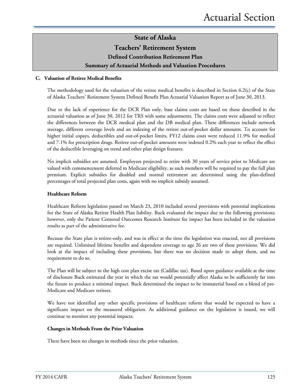**Teachers' Retirement System**

**Defined Contribution Retirement Plan** 

### **Summary of Actuarial Methods and Valuation Procedures**

#### **C. Valuation of Retiree Medical Benefits**

The methodology used for the valuation of the retiree medical benefits is described in Section 6.2(c) of the State of Alaska Teachers' Retirement System Defined Benefit Plan Actuarial Valuation Report as of June 30, 2013.

Due to the lack of experience for the DCR Plan only, base claims costs are based on those described in the actuarial valuation as of June 30, 2012 for TRS with some adjustments. The claims costs were adjusted to reflect the differences between the DCR medical plan and the DB medical plan. These differences include network steerage, different coverage levels and an indexing of the retiree out-of-pocket dollar amounts. To account for higher initial copays, deductibles and out-of-pocket limits, FY12 claims costs were reduced 11.9% for medical and 7.1% for prescription drugs. Retiree out-of-pocket amounts were indexed 0.2% each year to reflect the effect of the deductible leveraging on trend and other plan design features.

No implicit subsidies are assumed. Employees projected to retire with 30 years of service prior to Medicare are valued with commencement deferred to Medicare eligibility, as such members will be required to pay the full plan premium. Explicit subsidies for disabled and normal retirement are determined using the plan-defined percentages of total projected plan costs, again with no implicit subsidy assumed.

#### **Healthcare Reform**

Healthcare Reform legislation passed on March 23, 2010 included several provisions with potential implications for the State of Alaska Retiree Health Plan liability. Buck evaluated the impact due to the following provisions; however, only the Patient Centered Outcomes Research Institute fee impact has been included in the valuation results as part of the administrative fee.

Because the State plan is retiree-only, and was in effect at the time the legislation was enacted, not all provisions are required. Unlimited lifetime benefits and dependent coverage to age 26 are two of these provisions. We did look at the impact of including these provisions, but there was no decision made to adopt them, and no requirement to do so.

The Plan will be subject to the high cost plan excise tax (Cadillac tax). Based upon guidance available at the time of disclosure Buck estimated the year in which the tax would potentially affect Alaska to be sufficiently far into the future to produce a minimal impact. Buck determined the impact to be immaterial based on a blend of pre-Medicare and Medicare retirees.

We have not identified any other specific provisions of healthcare reform that would be expected to have a significant impact on the measured obligation. As additional guidance on the legislation is issued, we will continue to monitor any potential impacts.

#### **Changes in Methods From the Prior Valuation**

There have been no changes in methods since the prior valuation.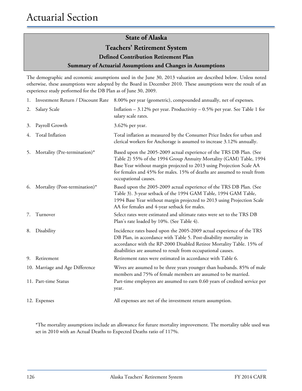## **Teachers' Retirement System**

**Defined Contribution Retirement Plan** 

#### **Summary of Actuarial Assumptions and Changes in Assumptions**

The demographic and economic assumptions used in the June 30, 2013 valuation are described below. Unless noted otherwise, these assumptions were adopted by the Board in December 2010. These assumptions were the result of an experience study performed for the DB Plan as of June 30, 2009.

|    |                                 | 1. Investment Return / Discount Rate 8.00% per year (geometric), compounded annually, net of expenses.                                                                                                                                                                                                               |
|----|---------------------------------|----------------------------------------------------------------------------------------------------------------------------------------------------------------------------------------------------------------------------------------------------------------------------------------------------------------------|
| 2. | Salary Scale                    | Inflation $-3.12\%$ per year. Productivity $-0.5\%$ per year. See Table 1 for<br>salary scale rates.                                                                                                                                                                                                                 |
| 3. | Payroll Growth                  | 3.62% per year.                                                                                                                                                                                                                                                                                                      |
| 4. | Total Inflation                 | Total inflation as measured by the Consumer Price Index for urban and<br>clerical workers for Anchorage is assumed to increase 3.12% annually.                                                                                                                                                                       |
| 5. | Mortality (Pre-termination)*    | Based upon the 2005-2009 actual experience of the TRS DB Plan. (See<br>Table 2) 55% of the 1994 Group Annuity Mortality (GAM) Table, 1994<br>Base Year without margin projected to 2013 using Projection Scale AA<br>for females and 45% for males. 15% of deaths are assumed to result from<br>occupational causes. |
| 6. | Mortality (Post-termination)*   | Based upon the 2005-2009 actual experience of the TRS DB Plan. (See<br>Table 3). 3-year setback of the 1994 GAM Table, 1994 GAM Table,<br>1994 Base Year without margin projected to 2013 using Projection Scale<br>AA for females and 4-year setback for males.                                                     |
| 7. | Turnover                        | Select rates were estimated and ultimate rates were set to the TRS DB<br>Plan's rate loaded by 10%. (See Table 4).                                                                                                                                                                                                   |
| 8. | Disability                      | Incidence rates based upon the 2005-2009 actual experience of the TRS<br>DB Plan, in accordance with Table 5. Post-disability mortality in<br>accordance with the RP-2000 Disabled Retiree Mortality Table. 15% of<br>disabilities are assumed to result from occupational causes.                                   |
| 9. | Retirement                      | Retirement rates were estimated in accordance with Table 6.                                                                                                                                                                                                                                                          |
|    | 10. Marriage and Age Difference | Wives are assumed to be three years younger than husbands. 85% of male<br>members and 75% of female members are assumed to be married.                                                                                                                                                                               |
|    | 11. Part-time Status            | Part-time employees are assumed to earn 0.60 years of credited service per<br>year.                                                                                                                                                                                                                                  |
|    | 12. Expenses                    | All expenses are net of the investment return assumption.                                                                                                                                                                                                                                                            |

\*The mortality assumptions include an allowance for future mortality improvement. The mortality table used was set in 2010 with an Actual Deaths to Expected Deaths ratio of 117%.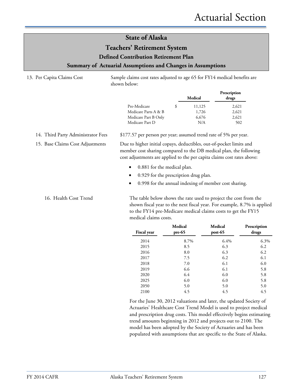### **Teachers' Retirement System**

**Defined Contribution Retirement Plan** 

#### **Summary of Actuarial Assumptions and Changes in Assumptions**

13. Per Capita Claims Cost Sample claims cost rates adjusted to age 65 for FY14 medical benefits are shown below:

|                      |   | Medical | Prescription<br>drugs |
|----------------------|---|---------|-----------------------|
| Pre-Medicare         | S | 11,125  | 2,621                 |
| Medicare Parts A & B |   | 1,726   | 2,621                 |
| Medicare Part B Only |   | 6,676   | 2,621                 |
| Medicare Part D      |   | N/A     | 502                   |

14. Third Party Administrator Fees \$177.57 per person per year; assumed trend rate of 5% per year.

15. Base Claims Cost Adjustments Due to higher initial copays, deductibles, out-of-pocket limits and member cost sharing compared to the DB medical plan, the following cost adjustments are applied to the per capita claims cost rates above:

- 0.881 for the medical plan.
- 0.929 for the prescription drug plan.
- 0.998 for the annual indexing of member cost sharing.

16. Health Cost Trend The table below shows the rate used to project the cost from the shown fiscal year to the next fiscal year. For example, 8.7% is applied to the FY14 pre-Medicare medical claims costs to get the FY15 medical claims costs.

| Fiscal year | Medical<br>$pre-65$ | Medical<br>$post-65$ | Prescription<br>drugs |
|-------------|---------------------|----------------------|-----------------------|
| 2014        | 8.7%                | 6.4%                 | 6.3%                  |
| 2015        | 8.5                 | 6.3                  | 6.2                   |
| 2016        | 8.0                 | 6.3                  | 6.2                   |
| 2017        | 7.5                 | 6.2                  | 6.1                   |
| 2018        | 7.0                 | 6.1                  | 6.0                   |
| 2019        | 6.6                 | 6.1                  | 5.8                   |
| 2020        | 6.4                 | 6.0                  | 5.8                   |
| 2025        | 6.0                 | 6.0                  | 5.8                   |
| 2050        | 5.0                 | 5.0                  | 5.0                   |
| 2100        | 4.5                 | 4.5                  | 4.5                   |

For the June 30, 2012 valuations and later, the updated Society of Actuaries' Healthcare Cost Trend Model is used to project medical and prescription drug costs. This model effectively begins estimating trend amounts beginning in 2012 and projects out to 2100. The model has been adopted by the Society of Actuaries and has been populated with assumptions that are specific to the State of Alaska.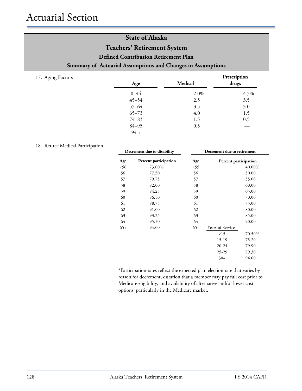# Actuarial Section

17. Aging Factors

# **State of Alaska Teachers' Retirement System Defined Contribution Retirement Plan Summary of Actuarial Assumptions and Changes in Assumptions**

| Age       | Medical | Prescription<br>drugs |
|-----------|---------|-----------------------|
| $0 - 44$  | 2.0%    | 4.5%                  |
| $45 - 54$ | 2.5     | 3.5                   |
| $55 - 64$ | 3.5     | 3.0                   |
| $65 - 73$ | 4.0     | 1.5                   |
| $74 - 83$ | 1.5     | 0.5                   |
| $84 - 95$ | 0.5     |                       |
| $94 +$    |         |                       |

#### 18. Retiree Medical Participation

|       | Decrement due to disability | Decrement due to retirement |                       |        |
|-------|-----------------------------|-----------------------------|-----------------------|--------|
| Age   | Percent participation       | Age                         | Percent participation |        |
| 56    | 73.00%                      | 55                          |                       | 40.00% |
| 56    | 77.50                       | 56                          |                       | 50.00  |
| 57    | 79.75                       | 57                          |                       | 55.00  |
| 58    | 82.00                       | 58                          |                       | 60.00  |
| 59    | 84.25                       | 59                          |                       | 65.00  |
| 60    | 86.50                       | 60                          |                       | 70.00  |
| 61    | 88.75                       | 61                          |                       | 75.00  |
| 62    | 91.00                       | 62                          |                       | 80.00  |
| 63    | 93.25                       | 63                          |                       | 85.00  |
| 64    | 95.50                       | 64                          |                       | 90.00  |
| $65+$ | 94.00                       | $65+$                       | Years of Service      |        |
|       |                             |                             | 15                    | 70.50% |
|       |                             |                             | 15-19                 | 75.20  |
|       |                             |                             | $20 - 24$             | 79.90  |
|       |                             |                             | $25 - 29$             | 89.30  |
|       |                             |                             | $30+$                 | 94.00  |
|       |                             |                             |                       |        |

\*Participation rates reflect the expected plan election rate that varies by reason for decrement, duration that a member may pay full cost prior to Medicare eligibility, and availability of alternative and/or lower cost options, particularly in the Medicare market.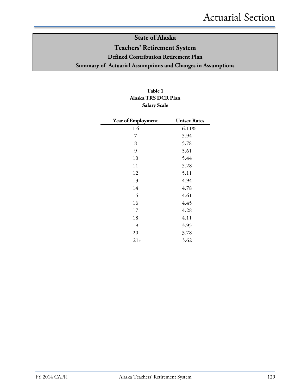# **State of Alaska Teachers' Retirement System Defined Contribution Retirement Plan Summary of Actuarial Assumptions and Changes in Assumptions**

## **Table 1 Alaska TRS DCR Plan Salary Scale**

| Year of Employment | <b>Unisex Rates</b> |
|--------------------|---------------------|
| $1-6$              | 6.11%               |
| 7                  | 5.94                |
| 8                  | 5.78                |
| 9                  | 5.61                |
| 10                 | 5.44                |
| 11                 | 5.28                |
| 12                 | 5.11                |
| 13                 | 4.94                |
| 14                 | 4.78                |
| 15                 | 4.61                |
| 16                 | 4.45                |
| 17                 | 4.28                |
| 18                 | 4.11                |
| 19                 | 3.95                |
| 20                 | 3.78                |
| $21+$              | 3.62                |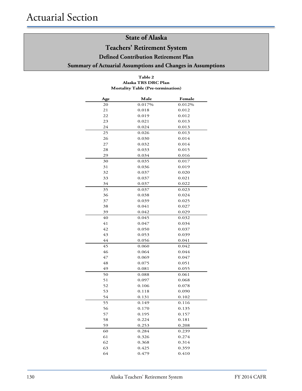# **Teachers' Retirement System**

**Defined Contribution Retirement Plan** 

**Summary of Actuarial Assumptions and Changes in Assumptions**

#### **Table 2 Mortality Table (Pre-termination) Alaska TRS DRC Plan**

| Age | Male   | Female |
|-----|--------|--------|
| 20  | 0.017% | 0.012% |
| 21  | 0.018  | 0.012  |
| 22  | 0.019  | 0.012  |
| 23  | 0.021  | 0.013  |
| 24  | 0.024  | 0.013  |
| 25  | 0.026  | 0.013  |
| 26  | 0.030  | 0.014  |
| 27  | 0.032  | 0.014  |
| 28  | 0.033  | 0.015  |
| 29  | 0.034  | 0.016  |
| 30  | 0.035  | 0.017  |
| 31  | 0.036  | 0.019  |
| 32  | 0.037  | 0.020  |
| 33  | 0.037  | 0.021  |
| 34  | 0.037  | 0.022  |
| 35  | 0.037  | 0.023  |
| 36  | 0.038  | 0.024  |
| 37  | 0.039  | 0.025  |
| 38  | 0.041  | 0.027  |
| 39  | 0.042  | 0.029  |
| 40  | 0.045  | 0.032  |
| 41  | 0.047  | 0.034  |
| 42  | 0.050  | 0.037  |
| 43  | 0.053  | 0.039  |
| 44  | 0.056  | 0.041  |
| 45  | 0.060  | 0.042  |
| 46  | 0.064  | 0.044  |
| 47  | 0.069  | 0.047  |
| 48  | 0.075  | 0.051  |
| 49  | 0.081  | 0.055  |
| 50  | 0.088  | 0.061  |
| 51  | 0.097  | 0.068  |
| 52  | 0.106  | 0.078  |
| 53  | 0.118  | 0.090  |
| 54  | 0.131  | 0.102  |
| 55  | 0.149  | 0.116  |
| 56  | 0.170  | 0.135  |
| 57  | 0.195  | 0.157  |
| 58  | 0.224  | 0.181  |
| 59  | 0.253  | 0.208  |
| 60  | 0.284  | 0.239  |
| 61  | 0.326  | 0.274  |
| 62  | 0.368  | 0.314  |
| 63  | 0.425  | 0.359  |
| 64  | 0.479  | 0.410  |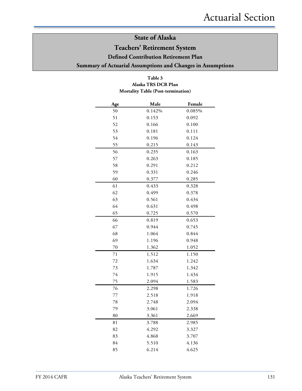# **Teachers' Retirement System**

**Defined Contribution Retirement Plan** 

**Summary of Actuarial Assumptions and Changes in Assumptions**

### **Table 3 Mortality Table (Post-termination) Alaska TRS DCR Plan**

| Age | Male   | Female |
|-----|--------|--------|
| 50  | 0.142% | 0.085% |
| 51  | 0.153  | 0.092  |
| 52  | 0.166  | 0.100  |
| 53  | 0.181  | 0.111  |
| 54  | 0.196  | 0.124  |
| 55  | 0.215  | 0.143  |
| 56  | 0.235  | 0.163  |
| 57  | 0.263  | 0.185  |
| 58  | 0.291  | 0.212  |
| 59  | 0.331  | 0.246  |
| 60  | 0.377  | 0.285  |
| 61  | 0.433  | 0.328  |
| 62  | 0.499  | 0.378  |
| 63  | 0.561  | 0.434  |
| 64  | 0.631  | 0.498  |
| 65  | 0.725  | 0.570  |
| 66  | 0.819  | 0.653  |
| 67  | 0.944  | 0.745  |
| 68  | 1.064  | 0.844  |
| 69  | 1.196  | 0.948  |
| 70  | 1.362  | 1.052  |
| 71  | 1.512  | 1.150  |
| 72  | 1.634  | 1.242  |
| 73  | 1.787  | 1.342  |
| 74  | 1.915  | 1.434  |
| 75  | 2.094  | 1.583  |
| 76  | 2.298  | 1.726  |
| 77  | 2.518  | 1.918  |
| 78  | 2.748  | 2.094  |
| 79  | 3.061  | 2.338  |
| 80  | 3.361  | 2.669  |
| 81  | 3.788  | 2.985  |
| 82  | 4.292  | 3.327  |
| 83  | 4.868  | 3.707  |
| 84  | 5.510  | 4.136  |
| 85  | 6.214  | 4.625  |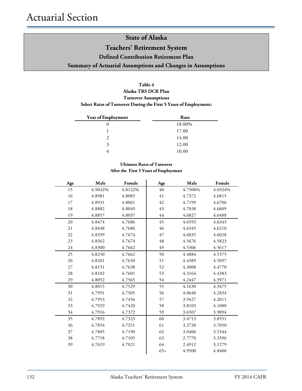# **State of Alaska Teachers' Retirement System Defined Contribution Retirement Plan Summary of Actuarial Assumptions and Changes in Assumptions**

### **Table 4**

### **Alaska TRS DCR Plan Select Rates of Turnover During the First 5 Years of Employment: Turnover Assumptions**

| Year of Employment | Rate   |
|--------------------|--------|
|                    | 18.00% |
|                    | 17.00  |
| $\gamma$           | 14.00  |
| 3                  | 12.00  |
|                    | 10.00  |

#### **Ultimate Rates of Turnover After the First 5 Years of Employment**

| Age | Male    | Female  | Age   | Male    | Female  |
|-----|---------|---------|-------|---------|---------|
| 15  | 4.9042% | 4.8122% | 40    | 4.7508% | 4.6924% |
| 16  | 4.8981  | 4.8085  | 41    | 4.7372  | 4.6815  |
| 17  | 4.8931  | 4.8061  | 42    | 4.7199  | 4.6706  |
| 18  | 4.8882  | 4.8049  | 43    | 4.7038  | 4.6609  |
| 19  | 4.8857  | 4.8037  | 44    | 4.6827  | 4.6488  |
| 20  | 4.8474  | 4.7686  | 45    | 4.6593  | 4.6343  |
| 21  | 4.8448  | 4.7686  | 46    | 4.6345  | 4.6210  |
| 22  | 4.8399  | 4.7674  | 47    | 4.6035  | 4.6028  |
| 23  | 4.8362  | 4.7674  | 48    | 4.5676  | 4.5823  |
| 24  | 4.8300  | 4.7662  | 49    | 4.5306  | 4.5617  |
| 25  | 4.8250  | 4.7662  | 50    | 4.4884  | 4.5375  |
| 26  | 4.8201  | 4.7650  | 51    | 4.4389  | 4.5097  |
| 27  | 4.8151  | 4.7638  | 52    | 4.3808  | 4.4770  |
| 28  | 4.8102  | 4.7601  | 53    | 4.3164  | 4.4383  |
| 29  | 4.8052  | 4.7565  | 54    | 4.2447  | 4.3971  |
| 30  | 4.8015  | 4.7529  | 55    | 4.1630  | 4.3475  |
| 31  | 4.7991  | 4.7505  | 56    | 4.0640  | 4.2834  |
| 32  | 4.7953  | 4.7456  | 57    | 3.9427  | 4.2011  |
| 33  | 4.7929  | 4.7420  | 58    | 3.8103  | 4.1080  |
| 34  | 4.7916  | 4.7372  | 59    | 3.6507  | 3.9894  |
| 35  | 4.7892  | 4.7323  | 60    | 3.4713  | 3.8551  |
| 36  | 4.7854  | 4.7251  | 61    | 3.2720  | 3.7050  |
| 37  | 4.7805  | 4.7190  | 62    | 3.0406  | 3.5344  |
| 38  | 4.7718  | 4.7105  | 63    | 2.7770  | 3.3396  |
| 39  | 4.7619  | 4.7021  | 64    | 2.4912  | 3.1279  |
|     |         |         | $65+$ | 4.9500  | 4.8400  |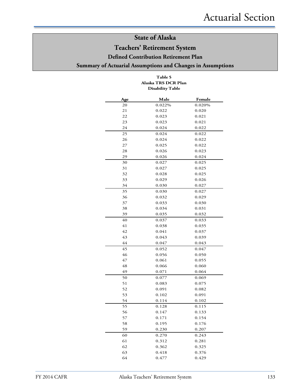# **Teachers' Retirement System**

**Defined Contribution Retirement Plan** 

**Summary of Actuarial Assumptions and Changes in Assumptions**

#### **Table 5 Alaska TRS DCR Plan Disability Table**

| Age | Male   | Female |
|-----|--------|--------|
| 20  | 0.022% | 0.020% |
| 21  | 0.022  | 0.020  |
| 22  | 0.023  | 0.021  |
| 23  | 0.023  | 0.021  |
| 24  | 0.024  | 0.022  |
| 25  | 0.024  | 0.022  |
| 26  | 0.024  | 0.022  |
| 27  | 0.025  | 0.022  |
| 28  | 0.026  | 0.023  |
| 29  | 0.026  | 0.024  |
| 30  | 0.027  | 0.025  |
| 31  | 0.027  | 0.025  |
| 32  | 0.028  | 0.025  |
| 33  | 0.029  | 0.026  |
| 34  | 0.030  | 0.027  |
| 35  | 0.030  | 0.027  |
| 36  | 0.032  | 0.029  |
| 37  | 0.033  | 0.030  |
| 38  | 0.034  | 0.031  |
| 39  | 0.035  | 0.032  |
| 40  | 0.037  | 0.033  |
| 41  | 0.038  | 0.035  |
| 42  | 0.041  | 0.037  |
| 43  | 0.043  | 0.039  |
| 44  | 0.047  | 0.043  |
| 45  | 0.052  | 0.047  |
| 46  | 0.056  | 0.050  |
| 47  | 0.061  | 0.055  |
| 48  | 0.066  | 0.060  |
| 49  | 0.071  | 0.064  |
| 50  | 0.077  | 0.069  |
| 51  | 0.083  | 0.075  |
| 52  | 0.091  | 0.082  |
| 53  | 0.102  | 0.091  |
| 54  | 0.114  | 0.102  |
| 55  | 0.128  | 0.115  |
| 56  | 0.147  | 0.133  |
| 57  | 0.171  | 0.154  |
| 58  | 0.195  | 0.176  |
| 59  | 0.230  | 0.207  |
| 60  | 0.270  | 0.243  |
| 61  | 0.312  | 0.281  |
| 62  | 0.362  | 0.325  |
| 63  | 0.418  | 0.376  |
| 64  | 0.477  | 0.429  |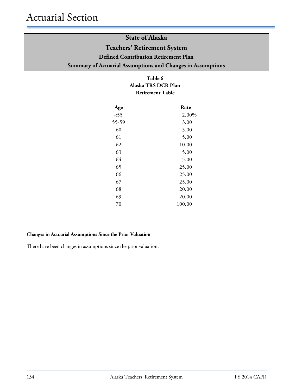# **State of Alaska Teachers' Retirement System**

**Defined Contribution Retirement Plan** 

**Summary of Actuarial Assumptions and Changes in Assumptions**

### **Table 6 Alaska TRS DCR Plan Retirement Table**

| Age   | Rate   |
|-------|--------|
| < 55  | 2.00%  |
| 55-59 | 3.00   |
| 60    | 5.00   |
| 61    | 5.00   |
| 62    | 10.00  |
| 63    | 5.00   |
| 64    | 5.00   |
| 65    | 25.00  |
| 66    | 25.00  |
| 67    | 25.00  |
| 68    | 20.00  |
| 69    | 20.00  |
| 70    | 100.00 |

## **Changes in Actuarial Assumptions Since the Prior Valuation**

There have been changes in assumptions since the prior valuation.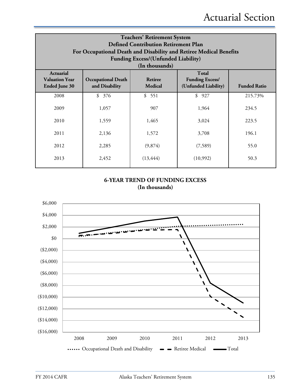| <b>Teachers' Retirement System</b><br><b>Defined Contribution Retirement Plan</b><br>For Occupational Death and Disability and Retiree Medical Benefits<br><b>Funding Excess/(Unfunded Liability)</b>                                                           |           |           |           |         |  |
|-----------------------------------------------------------------------------------------------------------------------------------------------------------------------------------------------------------------------------------------------------------------|-----------|-----------|-----------|---------|--|
| (In thousands)<br><b>Total</b><br><b>Actuarial</b><br><b>Funding Excess/</b><br><b>Valuation Year</b><br><b>Retiree</b><br><b>Occupational Death</b><br><b>Medical</b><br>(Unfunded Liability)<br>and Disability<br><b>Ended June 30</b><br><b>Funded Ratio</b> |           |           |           |         |  |
| 2008                                                                                                                                                                                                                                                            | \$<br>376 | \$551     | \$<br>927 | 215.73% |  |
| 2009                                                                                                                                                                                                                                                            | 1,057     | 907       | 1,964     | 234.5   |  |
| 2010                                                                                                                                                                                                                                                            | 1,559     | 1,465     | 3,024     | 223.5   |  |
| 2011                                                                                                                                                                                                                                                            | 2,136     | 1,572     | 3,708     | 196.1   |  |
| 2012                                                                                                                                                                                                                                                            | 2,285     | (9,874)   | (7,589)   | 55.0    |  |
| 2013                                                                                                                                                                                                                                                            | 2,452     | (13, 444) | (10,992)  | 50.3    |  |

## **6-YEAR TREND OF FUNDING EXCESS (In thousands)**

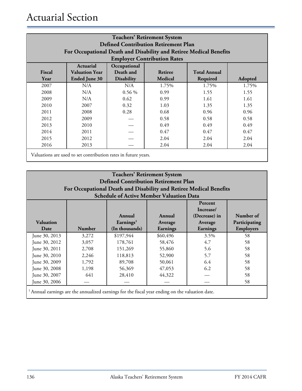| <b>Teachers' Retirement System</b><br><b>Defined Contribution Retirement Plan</b><br>For Occupational Death and Disability and Retiree Medical Benefits<br><b>Employer Contribution Rates</b> |                                                                                                                                                                                  |          |       |       |       |
|-----------------------------------------------------------------------------------------------------------------------------------------------------------------------------------------------|----------------------------------------------------------------------------------------------------------------------------------------------------------------------------------|----------|-------|-------|-------|
| Fiscal<br>Year                                                                                                                                                                                | Occupational<br>Actuarial<br>Death and<br><b>Valuation Year</b><br><b>Total Annual</b><br>Retiree<br>Medical<br><b>Ended June 30</b><br><b>Disability</b><br>Required<br>Adopted |          |       |       |       |
| 2007                                                                                                                                                                                          | N/A                                                                                                                                                                              | N/A      | 1.75% | 1.75% | 1.75% |
| 2008                                                                                                                                                                                          | N/A                                                                                                                                                                              | $0.56\%$ | 0.99  | 1.55  | 1.55  |
| 2009                                                                                                                                                                                          | N/A                                                                                                                                                                              | 0.62     | 0.99  | 1.61  | 1.61  |
| 2010                                                                                                                                                                                          | 2007                                                                                                                                                                             | 0.32     | 1.03  | 1.35  | 1.35  |
| 2011                                                                                                                                                                                          | 2008                                                                                                                                                                             | 0.28     | 0.68  | 0.96  | 0.96  |
| 2012                                                                                                                                                                                          | 2009                                                                                                                                                                             |          | 0.58  | 0.58  | 0.58  |
| 2013                                                                                                                                                                                          | 2010                                                                                                                                                                             |          | 0.49  | 0.49  | 0.49  |
| 2014                                                                                                                                                                                          | 2011                                                                                                                                                                             |          | 0.47  | 0.47  | 0.47  |
| 2015                                                                                                                                                                                          | 2012                                                                                                                                                                             |          | 2.04  | 2.04  | 2.04  |
| 2016                                                                                                                                                                                          | 2013                                                                                                                                                                             |          | 2.04  | 2.04  | 2.04  |
| Valuations are used to set contribution rates in future years.                                                                                                                                |                                                                                                                                                                                  |          |       |       |       |

| <b>Teachers' Retirement System</b><br><b>Defined Contribution Retirement Plan</b><br>For Occupational Death and Disability and Retiree Medical Benefits<br><b>Schedule of Active Member Valuation Data</b>                                                                                                                                                                                                                                       |  |  |  |  |
|--------------------------------------------------------------------------------------------------------------------------------------------------------------------------------------------------------------------------------------------------------------------------------------------------------------------------------------------------------------------------------------------------------------------------------------------------|--|--|--|--|
| Percent<br>Increase/<br>Number of<br>(Decrease) in<br>Annual<br>Annual<br><b>Valuation</b><br>Earnings <sup>1</sup><br>Participating<br>Average<br>Average<br><b>Number</b><br>(In thousands)<br><b>Employers</b><br>Earnings<br>Date<br>Earnings                                                                                                                                                                                                |  |  |  |  |
| \$197,944<br>58<br>June 30, 2013<br>3,272<br>\$60,496<br>3.5%<br>4.7<br>178,761<br>58,476<br>June 30, 2012<br>3,057<br>58<br>June 30, 2011<br>2,708<br>151,269<br>5.6<br>58<br>55,860<br>2,246<br>5.7<br>June 30, 2010<br>118,813<br>58<br>52,900<br>6.4<br>June 30, 2009<br>1,792<br>89,708<br>50,061<br>58<br>6.2<br>56,369<br>June 30, 2008<br>1,198<br>47,053<br>58<br>44,322<br>June 30, 2007<br>641<br>28,410<br>58<br>June 30, 2006<br>58 |  |  |  |  |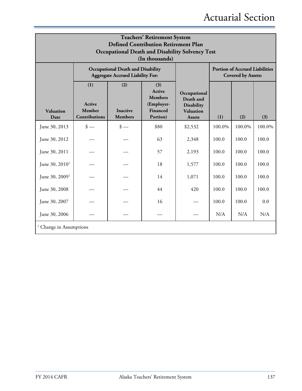| <b>Teachers' Retirement System</b><br><b>Defined Contribution Retirement Plan</b><br><b>Occupational Death and Disability Solvency Test</b><br>(In thousands) |                                                                                                                                                                      |                             |      |                                                                              |        |                                                                    |        |
|---------------------------------------------------------------------------------------------------------------------------------------------------------------|----------------------------------------------------------------------------------------------------------------------------------------------------------------------|-----------------------------|------|------------------------------------------------------------------------------|--------|--------------------------------------------------------------------|--------|
|                                                                                                                                                               | <b>Occupational Death and Disability</b><br><b>Aggregate Accrued Liability For:</b>                                                                                  |                             |      |                                                                              |        | <b>Portion of Accrued Liabilities</b><br><b>Covered by Assets:</b> |        |
| Valuation<br>Date                                                                                                                                             | (1)<br>(2)<br>(3)<br>Active<br><b>Members</b><br><b>Active</b><br>(Employer-<br>Member<br>Financed<br><b>Inactive</b><br>Contributions<br><b>Members</b><br>Portion) |                             |      | Occupational<br>Death and<br><b>Disability</b><br>Valuation<br><b>Assets</b> | (1)    | (2)                                                                | (3)    |
| June 30, 2013                                                                                                                                                 | $\frac{\text{I}}{\text{I}}$                                                                                                                                          | $\frac{\text{I}}{\text{I}}$ | \$80 | \$2,532                                                                      | 100.0% | 100.0%                                                             | 100.0% |
| June 30, 2012                                                                                                                                                 |                                                                                                                                                                      |                             | 63   | 2,348                                                                        | 100.0  | 100.0                                                              | 100.0  |
| June 30, 2011                                                                                                                                                 |                                                                                                                                                                      |                             | 57   | 2,193                                                                        | 100.0  | 100.0                                                              | 100.0  |
| June 30, 2010 <sup>1</sup>                                                                                                                                    |                                                                                                                                                                      |                             | 18   | 1,577                                                                        | 100.0  | 100.0                                                              | 100.0  |
| June 30, 2009 <sup>1</sup>                                                                                                                                    |                                                                                                                                                                      |                             | 14   | 1,071                                                                        | 100.0  | 100.0                                                              | 100.0  |
| June 30, 2008                                                                                                                                                 |                                                                                                                                                                      |                             | 44   | 420                                                                          | 100.0  | 100.0                                                              | 100.0  |
| June 30, 2007                                                                                                                                                 |                                                                                                                                                                      |                             | 16   |                                                                              | 100.0  | 100.0                                                              | 0.0    |
| June 30, 2006                                                                                                                                                 |                                                                                                                                                                      |                             |      |                                                                              | N/A    | N/A                                                                | N/A    |
| <sup>1</sup> Change in Assumptions                                                                                                                            |                                                                                                                                                                      |                             |      |                                                                              |        |                                                                    |        |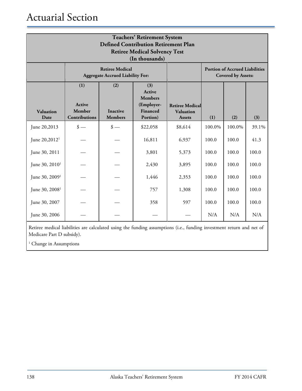# Actuarial Section

| <b>Teachers' Retirement System</b><br><b>Defined Contribution Retirement Plan</b><br><b>Retiree Medical Solvency Test</b><br>(In thousands) |                                                 |                                          |                                                                              |                                                                    |        |        |       |
|---------------------------------------------------------------------------------------------------------------------------------------------|-------------------------------------------------|------------------------------------------|------------------------------------------------------------------------------|--------------------------------------------------------------------|--------|--------|-------|
|                                                                                                                                             | <b>Aggregate Accrued Liability For:</b>         |                                          |                                                                              | <b>Portion of Accrued Liabilities</b><br><b>Covered by Assets:</b> |        |        |       |
| Valuation<br>Date                                                                                                                           | (1)<br><b>Active</b><br>Member<br>Contributions | (2)<br><b>Inactive</b><br><b>Members</b> | (3)<br><b>Active</b><br><b>Members</b><br>(Employer-<br>Financed<br>Portion) | <b>Retiree Medical</b><br>Valuation<br><b>Assets</b>               | (1)    | (2)    | (3)   |
| June 20,2013                                                                                                                                | $\frac{\text{I}}{\text{I}}$                     | $\frac{\text{I}}{\text{I}}$              | \$22,058                                                                     | \$8,614                                                            | 100.0% | 100.0% | 39.1% |
| June 20,2012 <sup>1</sup>                                                                                                                   |                                                 |                                          | 16,811                                                                       | 6,937                                                              | 100.0  | 100.0  | 41.3  |
| June 30, 2011                                                                                                                               |                                                 |                                          | 3,801                                                                        | 5,373                                                              | 100.0  | 100.0  | 100.0 |
| June 30, 2010 <sup>1</sup>                                                                                                                  |                                                 |                                          | 2,430                                                                        | 3,895                                                              | 100.0  | 100.0  | 100.0 |
| June $30, 20091$                                                                                                                            |                                                 |                                          | 1,446                                                                        | 2,353                                                              | 100.0  | 100.0  | 100.0 |
| June 30, 2008 <sup>1</sup>                                                                                                                  |                                                 |                                          | 757                                                                          | 1,308                                                              | 100.0  | 100.0  | 100.0 |
| June 30, 2007                                                                                                                               |                                                 |                                          | 358                                                                          | 597                                                                | 100.0  | 100.0  | 100.0 |
| June 30, 2006                                                                                                                               |                                                 |                                          |                                                                              |                                                                    | N/A    | N/A    | N/A   |

Retiree medical liabilities are calculated using the funding assumptions (i.e., funding investment return and net of Medicare Part D subsidy).

 $^{\rm 1}$  Change in Assumptions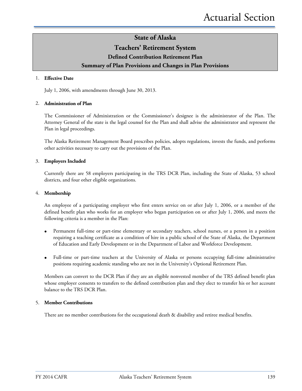## **Teachers' Retirement System**

# **Defined Contribution Retirement Plan**

### **Summary of Plan Provisions and Changes in Plan Provisions**

#### 1. **Effective Date**

July 1, 2006, with amendments through June 30, 2013.

#### 2. **Administration of Plan**

The Commissioner of Administration or the Commissioner's designee is the administrator of the Plan. The Attorney General of the state is the legal counsel for the Plan and shall advise the administrator and represent the Plan in legal proceedings.

The Alaska Retirement Management Board prescribes policies, adopts regulations, invests the funds, and performs other activities necessary to carry out the provisions of the Plan.

#### 3. **Employers Included**

Currently there are 58 employers participating in the TRS DCR Plan, including the State of Alaska, 53 school districts, and four other eligible organizations.

#### 4. **Membership**

An employee of a participating employer who first enters service on or after July 1, 2006, or a member of the defined benefit plan who works for an employer who began participation on or after July 1, 2006, and meets the following criteria is a member in the Plan:

- Permanent full-time or part-time elementary or secondary teachers, school nurses, or a person in a position requiring a teaching certificate as a condition of hire in a public school of the State of Alaska, the Department of Education and Early Development or in the Department of Labor and Workforce Development.
- Full-time or part-time teachers at the University of Alaska or persons occupying full-time administrative positions requiring academic standing who are not in the University's Optional Retirement Plan.

Members can convert to the DCR Plan if they are an eligible nonvested member of the TRS defined benefit plan whose employer consents to transfers to the defined contribution plan and they elect to transfer his or her account balance to the TRS DCR Plan.

#### 5. **Member Contributions**

There are no member contributions for the occupational death & disability and retiree medical benefits.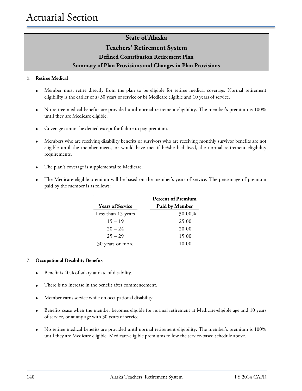# **Teachers' Retirement System**

### **Defined Contribution Retirement Plan**

### **Summary of Plan Provisions and Changes in Plan Provisions**

### 6. **Retiree Medical**

- Member must retire directly from the plan to be eligible for retiree medical coverage. Normal retirement eligibility is the earlier of a) 30 years of service or b) Medicare eligible and 10 years of service.
- No retiree medical benefits are provided until normal retirement eligibility. The member's premium is 100% until they are Medicare eligible.
- Coverage cannot be denied except for failure to pay premium.
- Members who are receiving disability benefits or survivors who are receiving monthly survivor benefits are not eligible until the member meets, or would have met if he/she had lived, the normal retirement eligibility requirements.
- The plan's coverage is supplemental to Medicare.
- The Medicare-eligible premium will be based on the member's years of service. The percentage of premium paid by the member is as follows:

|                         | <b>Percent of Premium</b> |
|-------------------------|---------------------------|
| <b>Years of Service</b> | Paid by Member            |
| Less than 15 years      | 30.00%                    |
| $15 - 19$               | 25.00                     |
| $20 - 24$               | 20.00                     |
| $25 - 29$               | 15.00                     |
| 30 years or more        | 10.00                     |

### 7. **Occupational Disability Benefits**

- Benefit is 40% of salary at date of disability.
- There is no increase in the benefit after commencement.
- Member earns service while on occupational disability.
- Benefits cease when the member becomes eligible for normal retirement at Medicare-eligible age and 10 years of service, or at any age with 30 years of service.
- No retiree medical benefits are provided until normal retirement eligibility. The member's premium is 100% until they are Medicare eligible. Medicare-eligible premiums follow the service-based schedule above.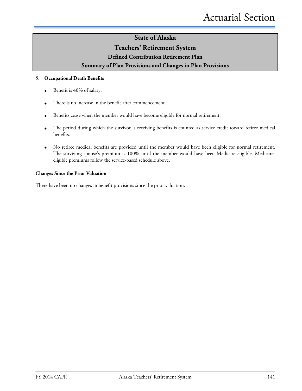### **Teachers' Retirement System**

**Defined Contribution Retirement Plan** 

**Summary of Plan Provisions and Changes in Plan Provisions**

#### 8. **Occupational Death Benefits**

- Benefit is 40% of salary.
- There is no increase in the benefit after commencement.
- Benefits cease when the member would have become eligible for normal retirement.
- The period during which the survivor is receiving benefits is counted as service credit toward retiree medical benefits.
- No retiree medical benefits are provided until the member would have been eligible for normal retirement. The surviving spouse's premium is 100% until the member would have been Medicare eligible. Medicareeligible premiums follow the service-based schedule above.

#### **Changes Since the Prior Valuation**

There have been no changes in benefit provisions since the prior valuation.